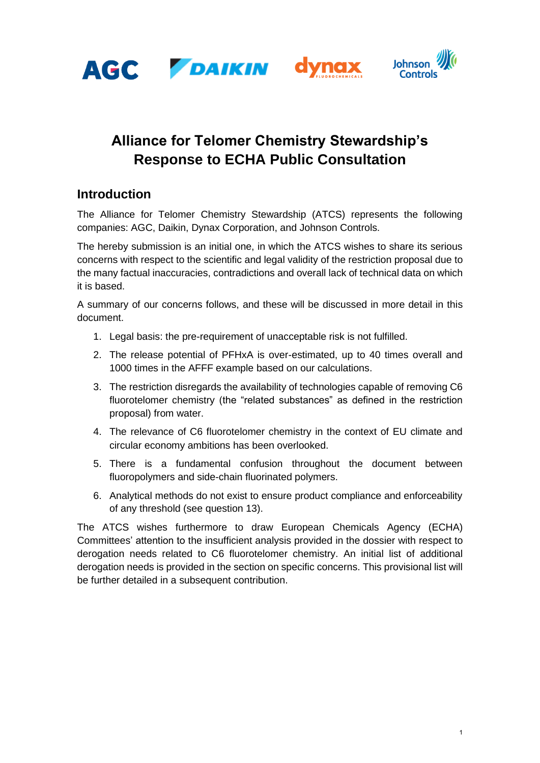





# **Alliance for Telomer Chemistry Stewardship's Response to ECHA Public Consultation**

## **Introduction**

The Alliance for Telomer Chemistry Stewardship (ATCS) represents the following companies: AGC, Daikin, Dynax Corporation, and Johnson Controls.

The hereby submission is an initial one, in which the ATCS wishes to share its serious concerns with respect to the scientific and legal validity of the restriction proposal due to the many factual inaccuracies, contradictions and overall lack of technical data on which it is based.

A summary of our concerns follows, and these will be discussed in more detail in this document.

- 1. Legal basis: the pre-requirement of unacceptable risk is not fulfilled.
- 2. The release potential of PFHxA is over-estimated, up to 40 times overall and 1000 times in the AFFF example based on our calculations.
- 3. The restriction disregards the availability of technologies capable of removing C6 fluorotelomer chemistry (the "related substances" as defined in the restriction proposal) from water.
- 4. The relevance of C6 fluorotelomer chemistry in the context of EU climate and circular economy ambitions has been overlooked.
- 5. There is a fundamental confusion throughout the document between fluoropolymers and side-chain fluorinated polymers.
- 6. Analytical methods do not exist to ensure product compliance and enforceability of any threshold (see question 13).

The ATCS wishes furthermore to draw European Chemicals Agency (ECHA) Committees' attention to the insufficient analysis provided in the dossier with respect to derogation needs related to C6 fluorotelomer chemistry. An initial list of additional derogation needs is provided in the section on specific concerns. This provisional list will be further detailed in a subsequent contribution.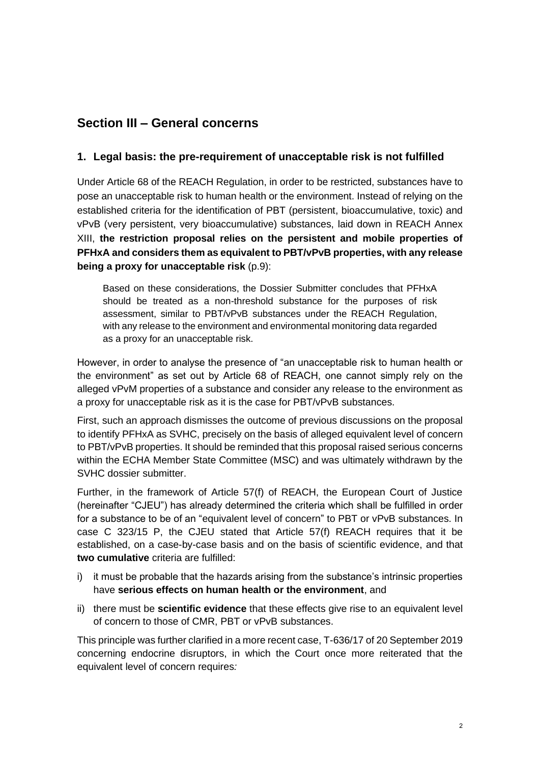## **Section III – General concerns**

#### **1. Legal basis: the pre-requirement of unacceptable risk is not fulfilled**

Under Article 68 of the REACH Regulation, in order to be restricted, substances have to pose an unacceptable risk to human health or the environment. Instead of relying on the established criteria for the identification of PBT (persistent, bioaccumulative, toxic) and vPvB (very persistent, very bioaccumulative) substances, laid down in REACH Annex XIII, **the restriction proposal relies on the persistent and mobile properties of PFHxA and considers them as equivalent to PBT/vPvB properties, with any release being a proxy for unacceptable risk (p.9):** 

Based on these considerations, the Dossier Submitter concludes that PFHxA should be treated as a non-threshold substance for the purposes of risk assessment, similar to PBT/vPvB substances under the REACH Regulation, with any release to the environment and environmental monitoring data regarded as a proxy for an unacceptable risk.

However, in order to analyse the presence of "an unacceptable risk to human health or the environment" as set out by Article 68 of REACH, one cannot simply rely on the alleged vPvM properties of a substance and consider any release to the environment as a proxy for unacceptable risk as it is the case for PBT/vPvB substances.

First, such an approach dismisses the outcome of previous discussions on the proposal to identify PFHxA as SVHC, precisely on the basis of alleged equivalent level of concern to PBT/vPvB properties. It should be reminded that this proposal raised serious concerns within the ECHA Member State Committee (MSC) and was ultimately withdrawn by the SVHC dossier submitter.

Further, in the framework of Article 57(f) of REACH, the European Court of Justice (hereinafter "CJEU") has already determined the criteria which shall be fulfilled in order for a substance to be of an "equivalent level of concern" to PBT or vPvB substances. In case C 323/15 P, the CJEU stated that Article 57(f) REACH requires that it be established, on a case-by-case basis and on the basis of scientific evidence, and that **two cumulative** criteria are fulfilled:

- i) it must be probable that the hazards arising from the substance's intrinsic properties have **serious effects on human health or the environment**, and
- ii) there must be **scientific evidence** that these effects give rise to an equivalent level of concern to those of CMR, PBT or vPvB substances.

This principle was further clarified in a more recent case, T-636/17 of 20 September 2019 concerning endocrine disruptors, in which the Court once more reiterated that the equivalent level of concern requires*:*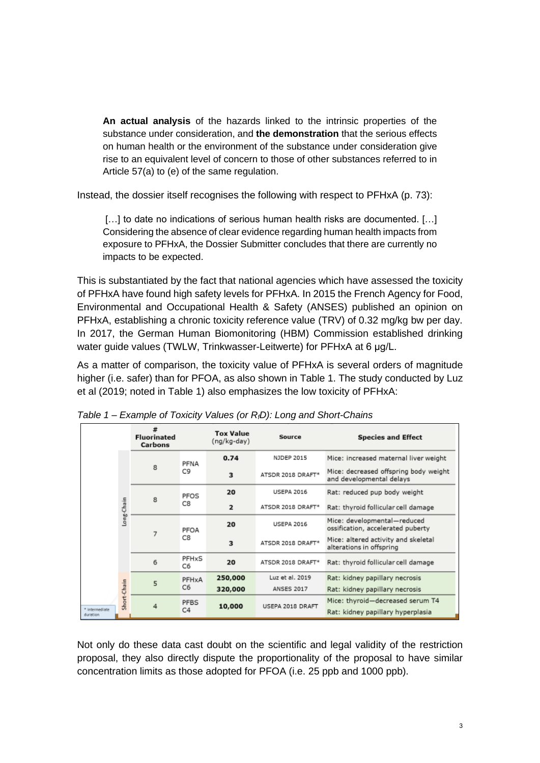**An actual analysis** of the hazards linked to the intrinsic properties of the substance under consideration, and **the demonstration** that the serious effects on human health or the environment of the substance under consideration give rise to an equivalent level of concern to those of other substances referred to in Article 57(a) to (e) of the same regulation.

Instead, the dossier itself recognises the following with respect to PFHxA (p. 73):

[...] to date no indications of serious human health risks are documented. [...] Considering the absence of clear evidence regarding human health impacts from exposure to PFHxA, the Dossier Submitter concludes that there are currently no impacts to be expected.

This is substantiated by the fact that national agencies which have assessed the toxicity of PFHxA have found high safety levels for PFHxA. In 2015 the French Agency for Food, Environmental and Occupational Health & Safety (ANSES) published an opinion on PFHxA, establishing a chronic toxicity reference value (TRV) of 0.32 mg/kg bw per day. In 2017, the German Human Biomonitoring (HBM) Commission established drinking water guide values (TWLW, Trinkwasser-Leitwerte) for PFHxA at 6 μg/L.

As a matter of comparison, the toxicity value of PFHxA is several orders of magnitude higher (i.e. safer) than for PFOA, as also shown in Table 1. The study conducted by Luz et al (2019; noted in Table 1) also emphasizes the low toxicity of PFHxA:

|                            |             | #<br><b>Fluorinated</b><br><b>Carbons</b> |             | <b>Tox Value</b><br>(ng/kg-day) | Source            | <b>Species and Effect</b>                                             |
|----------------------------|-------------|-------------------------------------------|-------------|---------------------------------|-------------------|-----------------------------------------------------------------------|
|                            |             | 8                                         | PFNA<br>C9  | 0.74                            | NJDEP 2015        | Mice: increased maternal liver weight                                 |
|                            |             |                                           |             | 3                               | ATSDR 2018 DRAFT* | Mice: decreased offspring body weight<br>and developmental delays     |
|                            |             | 8                                         | PFOS<br>C8  | 20                              | <b>USEPA 2016</b> | Rat: reduced pup body weight                                          |
|                            | Long-Chain  |                                           |             | $\overline{a}$                  | ATSDR 2018 DRAFT* | Rat: thyroid follicular cell damage                                   |
|                            |             | 7                                         | PFOA<br>C8  | 20                              | <b>USEPA 2016</b> | Mice: developmental-reduced<br>ossification, accelerated puberty      |
|                            |             |                                           |             | 3                               | ATSDR 2018 DRAFT* | Mice: altered activity and skeletal<br>alterations in offspring       |
|                            |             | 6                                         | PFHxS<br>C6 | 20                              | ATSDR 2018 DRAFT* | Rat: thyroid follicular cell damage                                   |
|                            |             | 5                                         | PFHxA<br>C6 | 250,000                         | Luz et al. 2019   | Rat: kidney papillary necrosis                                        |
|                            |             |                                           |             | 320,000                         | <b>ANSES 2017</b> | Rat: kidney papillary necrosis                                        |
| * Intermediate<br>duration | Short-Chain | 4                                         | PFBS<br>C4  | 10,000                          | USEPA 2018 DRAFT  | Mice: thyroid-decreased serum T4<br>Rat: kidney papillary hyperplasia |

*Table 1 – Example of Toxicity Values (or RfD): Long and Short-Chains*

Not only do these data cast doubt on the scientific and legal validity of the restriction proposal, they also directly dispute the proportionality of the proposal to have similar concentration limits as those adopted for PFOA (i.e. 25 ppb and 1000 ppb).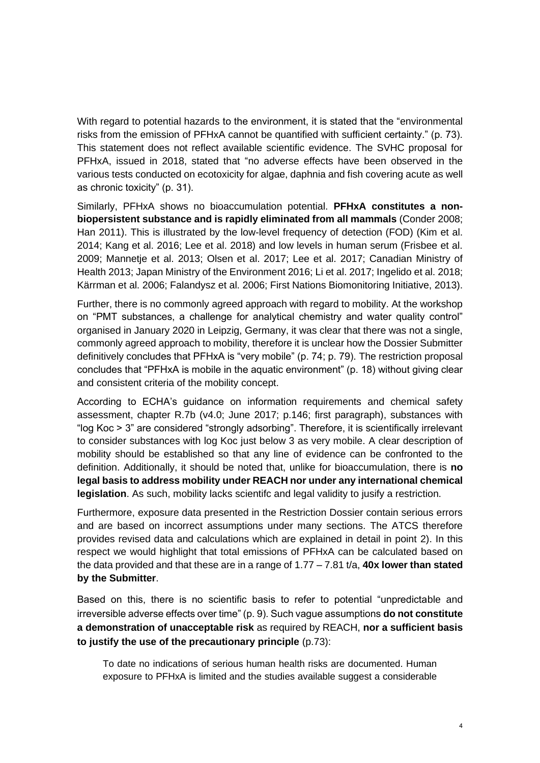With regard to potential hazards to the environment, it is stated that the "environmental risks from the emission of PFHxA cannot be quantified with sufficient certainty." (p. 73). This statement does not reflect available scientific evidence. The SVHC proposal for PFHxA, issued in 2018, stated that "no adverse effects have been observed in the various tests conducted on ecotoxicity for algae, daphnia and fish covering acute as well as chronic toxicity" (p. 31).

Similarly, PFHxA shows no bioaccumulation potential. **PFHxA constitutes a nonbiopersistent substance and is rapidly eliminated from all mammals** (Conder 2008; Han 2011). This is illustrated by the low-level frequency of detection (FOD) (Kim et al. 2014; Kang et al. 2016; Lee et al. 2018) and low levels in human serum (Frisbee et al. 2009; Mannetje et al. 2013; Olsen et al. 2017; Lee et al. 2017; Canadian Ministry of Health 2013; Japan Ministry of the Environment 2016; Li et al. 2017; Ingelido et al. 2018; Kärrman et al. 2006; Falandysz et al. 2006; First Nations Biomonitoring Initiative, 2013).

Further, there is no commonly agreed approach with regard to mobility. At the workshop on "PMT substances, a challenge for analytical chemistry and water quality control" organised in January 2020 in Leipzig, Germany, it was clear that there was not a single, commonly agreed approach to mobility, therefore it is unclear how the Dossier Submitter definitively concludes that PFHxA is "very mobile" (p. 74; p. 79). The restriction proposal concludes that "PFHxA is mobile in the aquatic environment" (p. 18) without giving clear and consistent criteria of the mobility concept.

According to ECHA's guidance on information requirements and chemical safety assessment, chapter R.7b (v4.0; June 2017; p.146; first paragraph), substances with "log Koc > 3" are considered "strongly adsorbing". Therefore, it is scientifically irrelevant to consider substances with log Koc just below 3 as very mobile. A clear description of mobility should be established so that any line of evidence can be confronted to the definition. Additionally, it should be noted that, unlike for bioaccumulation, there is **no legal basis to address mobility under REACH nor under any international chemical legislation**. As such, mobility lacks scientifc and legal validity to jusify a restriction.

Furthermore, exposure data presented in the Restriction Dossier contain serious errors and are based on incorrect assumptions under many sections. The ATCS therefore provides revised data and calculations which are explained in detail in point 2). In this respect we would highlight that total emissions of PFHxA can be calculated based on the data provided and that these are in a range of 1.77 – 7.81 t/a, **40x lower than stated by the Submitter**.

Based on this, there is no scientific basis to refer to potential "unpredictable and irreversible adverse effects over time" (p. 9). Such vague assumptions **do not constitute a demonstration of unacceptable risk** as required by REACH, **nor a sufficient basis to justify the use of the precautionary principle** (p.73):

To date no indications of serious human health risks are documented. Human exposure to PFHxA is limited and the studies available suggest a considerable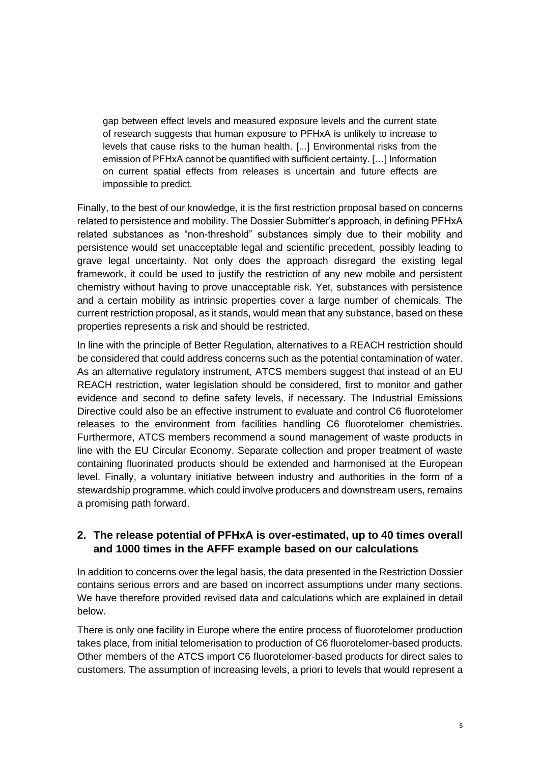gap between effect levels and measured exposure levels and the current state of research suggests that human exposure to PFHxA is unlikely to increase to levels that cause risks to the human health. [...] Environmental risks from the emission of PFHxA cannot be quantified with sufficient certainty. […] Information on current spatial effects from releases is uncertain and future effects are impossible to predict.

Finally, to the best of our knowledge, it is the first restriction proposal based on concerns related to persistence and mobility. The Dossier Submitter's approach, in defining PFHxA related substances as "non-threshold" substances simply due to their mobility and persistence would set unacceptable legal and scientific precedent, possibly leading to grave legal uncertainty. Not only does the approach disregard the existing legal framework, it could be used to justify the restriction of any new mobile and persistent chemistry without having to prove unacceptable risk. Yet, substances with persistence and a certain mobility as intrinsic properties cover a large number of chemicals. The current restriction proposal, as it stands, would mean that any substance, based on these properties represents a risk and should be restricted.

In line with the principle of Better Regulation, alternatives to a REACH restriction should be considered that could address concerns such as the potential contamination of water. As an alternative regulatory instrument, ATCS members suggest that instead of an EU REACH restriction, water legislation should be considered, first to monitor and gather evidence and second to define safety levels, if necessary. The Industrial Emissions Directive could also be an effective instrument to evaluate and control C6 fluorotelomer releases to the environment from facilities handling C6 fluorotelomer chemistries. Furthermore, ATCS members recommend a sound management of waste products in line with the EU Circular Economy. Separate collection and proper treatment of waste containing fluorinated products should be extended and harmonised at the European level. Finally, a voluntary initiative between industry and authorities in the form of a stewardship programme, which could involve producers and downstream users, remains a promising path forward.

## **2. The release potential of PFHxA is over-estimated, up to 40 times overall and 1000 times in the AFFF example based on our calculations**

In addition to concerns over the legal basis, the data presented in the Restriction Dossier contains serious errors and are based on incorrect assumptions under many sections. We have therefore provided revised data and calculations which are explained in detail below.

There is only one facility in Europe where the entire process of fluorotelomer production takes place, from initial telomerisation to production of C6 fluorotelomer-based products. Other members of the ATCS import C6 fluorotelomer-based products for direct sales to customers. The assumption of increasing levels, a priori to levels that would represent a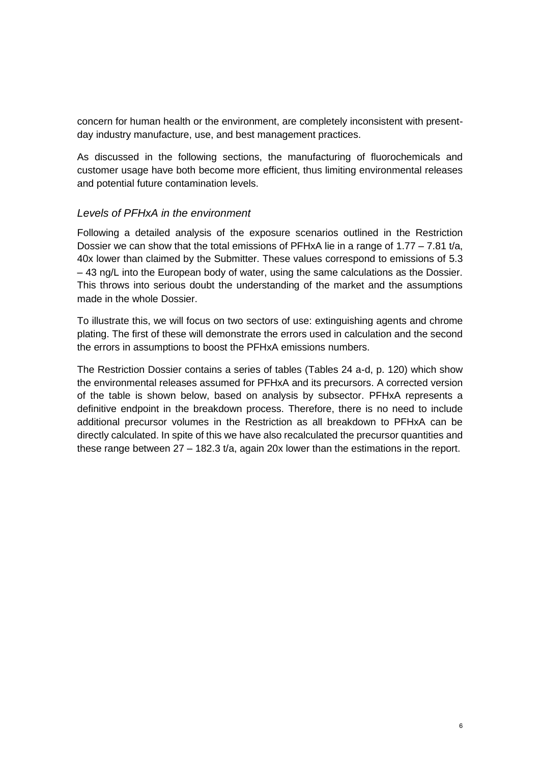concern for human health or the environment, are completely inconsistent with presentday industry manufacture, use, and best management practices.

As discussed in the following sections, the manufacturing of fluorochemicals and customer usage have both become more efficient, thus limiting environmental releases and potential future contamination levels.

#### *Levels of PFHxA in the environment*

Following a detailed analysis of the exposure scenarios outlined in the Restriction Dossier we can show that the total emissions of  $PFHxA$  lie in a range of 1.77 – 7.81 t/a, 40x lower than claimed by the Submitter. These values correspond to emissions of 5.3 – 43 ng/L into the European body of water, using the same calculations as the Dossier. This throws into serious doubt the understanding of the market and the assumptions made in the whole Dossier.

To illustrate this, we will focus on two sectors of use: extinguishing agents and chrome plating. The first of these will demonstrate the errors used in calculation and the second the errors in assumptions to boost the PFHxA emissions numbers.

The Restriction Dossier contains a series of tables (Tables 24 a-d, p. 120) which show the environmental releases assumed for PFHxA and its precursors. A corrected version of the table is shown below, based on analysis by subsector. PFHxA represents a definitive endpoint in the breakdown process. Therefore, there is no need to include additional precursor volumes in the Restriction as all breakdown to PFHxA can be directly calculated. In spite of this we have also recalculated the precursor quantities and these range between 27 – 182.3 t/a, again 20x lower than the estimations in the report.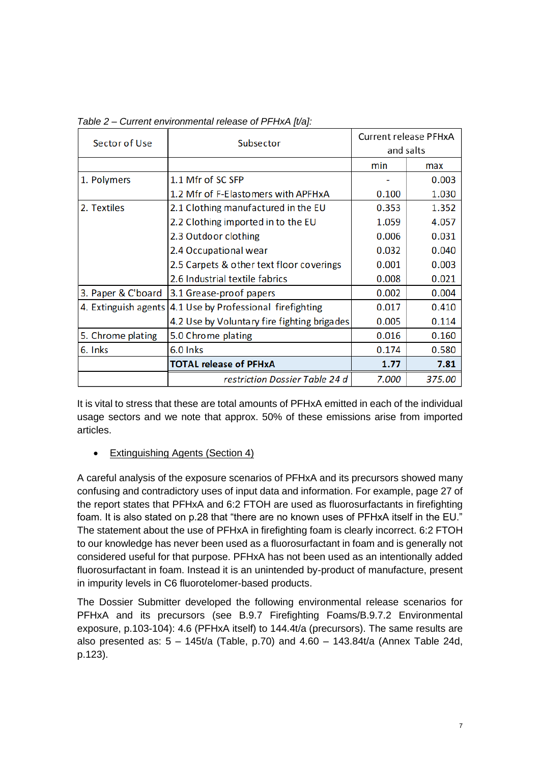| Sector of Use      | Subsector                                                   | Current release PFHxA |        |
|--------------------|-------------------------------------------------------------|-----------------------|--------|
|                    |                                                             | and salts             |        |
|                    |                                                             | min                   | max    |
| 1. Polymers        | 1.1 Mfr of SC SFP                                           |                       | 0.003  |
|                    | 1.2 Mfr of F-Elastomers with APFHxA                         | 0.100                 | 1.030  |
| 2. Textiles        | 2.1 Clothing manufactured in the EU                         | 0.353                 | 1.352  |
|                    | 2.2 Clothing imported in to the EU                          | 1.059                 | 4.057  |
|                    | 2.3 Outdoor clothing                                        | 0.006                 | 0.031  |
|                    | 2.4 Occupational wear                                       | 0.032                 | 0.040  |
|                    | 2.5 Carpets & other text floor coverings                    | 0.001                 | 0.003  |
|                    | 2.6 Industrial textile fabrics                              | 0.008                 | 0.021  |
| 3. Paper & C'board | 3.1 Grease-proof papers                                     | 0.002                 | 0.004  |
|                    | 4. Extinguish agents   4.1 Use by Professional firefighting | 0.017                 | 0.410  |
|                    | 4.2 Use by Voluntary fire fighting brigades                 | 0.005                 | 0.114  |
| 5. Chrome plating  | 5.0 Chrome plating                                          | 0.016                 | 0.160  |
| 6. Inks            | 6.0 lnks                                                    | 0.174                 | 0.580  |
|                    | <b>TOTAL release of PFHxA</b>                               | 1.77                  | 7.81   |
|                    | restriction Dossier Table 24 d                              | 7.000                 | 375.00 |

*Table 2 – Current environmental release of PFHxA [t/a]:*

It is vital to stress that these are total amounts of PFHxA emitted in each of the individual usage sectors and we note that approx. 50% of these emissions arise from imported articles.

#### • Extinguishing Agents (Section 4)

A careful analysis of the exposure scenarios of PFHxA and its precursors showed many confusing and contradictory uses of input data and information. For example, page 27 of the report states that PFHxA and 6:2 FTOH are used as fluorosurfactants in firefighting foam. It is also stated on p.28 that "there are no known uses of PFHxA itself in the EU." The statement about the use of PFHxA in firefighting foam is clearly incorrect. 6:2 FTOH to our knowledge has never been used as a fluorosurfactant in foam and is generally not considered useful for that purpose. PFHxA has not been used as an intentionally added fluorosurfactant in foam. Instead it is an unintended by-product of manufacture, present in impurity levels in C6 fluorotelomer-based products.

The Dossier Submitter developed the following environmental release scenarios for PFHxA and its precursors (see B.9.7 Firefighting Foams/B.9.7.2 Environmental exposure, p.103-104): 4.6 (PFHxA itself) to 144.4t/a (precursors). The same results are also presented as:  $5 - 145t/a$  (Table, p.70) and  $4.60 - 143.84t/a$  (Annex Table 24d, p.123).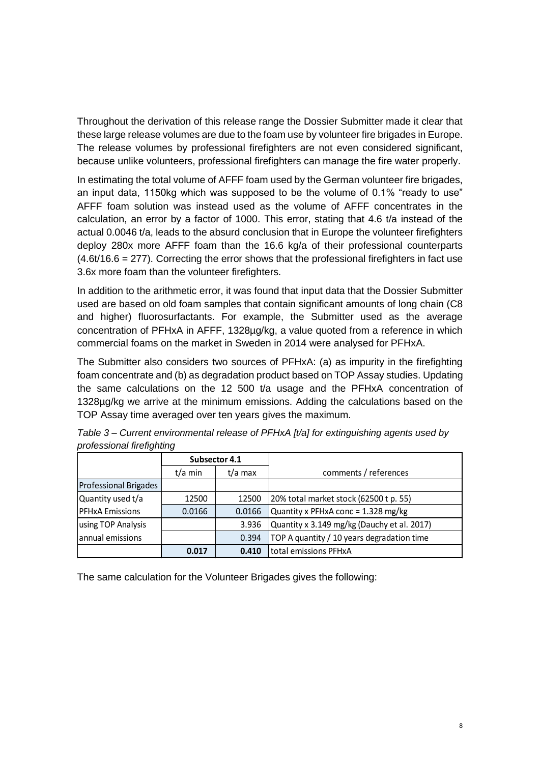Throughout the derivation of this release range the Dossier Submitter made it clear that these large release volumes are due to the foam use by volunteer fire brigades in Europe. The release volumes by professional firefighters are not even considered significant, because unlike volunteers, professional firefighters can manage the fire water properly.

In estimating the total volume of AFFF foam used by the German volunteer fire brigades, an input data, 1150kg which was supposed to be the volume of 0.1% "ready to use" AFFF foam solution was instead used as the volume of AFFF concentrates in the calculation, an error by a factor of 1000. This error, stating that 4.6 t/a instead of the actual 0.0046 t/a, leads to the absurd conclusion that in Europe the volunteer firefighters deploy 280x more AFFF foam than the 16.6 kg/a of their professional counterparts  $(4.6t/16.6 = 277)$ . Correcting the error shows that the professional firefighters in fact use 3.6x more foam than the volunteer firefighters.

In addition to the arithmetic error, it was found that input data that the Dossier Submitter used are based on old foam samples that contain significant amounts of long chain (C8 and higher) fluorosurfactants. For example, the Submitter used as the average concentration of PFHxA in AFFF, 1328µg/kg, a value quoted from a reference in which commercial foams on the market in Sweden in 2014 were analysed for PFHxA.

The Submitter also considers two sources of PFHxA: (a) as impurity in the firefighting foam concentrate and (b) as degradation product based on TOP Assay studies. Updating the same calculations on the 12 500 t/a usage and the PFHxA concentration of 1328µg/kg we arrive at the minimum emissions. Adding the calculations based on the TOP Assay time averaged over ten years gives the maximum.

| profocional in ongrithing    | Subsector 4.1 |         |                                             |  |
|------------------------------|---------------|---------|---------------------------------------------|--|
|                              | t/a min       | t/a max | comments / references                       |  |
| <b>Professional Brigades</b> |               |         |                                             |  |
| Quantity used t/a            | 12500         | 12500   | 20% total market stock (62500 t p. 55)      |  |
| <b>PFHxA Emissions</b>       | 0.0166        | 0.0166  | Quantity x PFHxA conc = 1.328 mg/kg         |  |
| using TOP Analysis           |               | 3.936   | Quantity x 3.149 mg/kg (Dauchy et al. 2017) |  |
| annual emissions             |               | 0.394   | TOP A quantity / 10 years degradation time  |  |
|                              | 0.017         | 0.410   | total emissions PFHxA                       |  |

*Table 3 – Current environmental release of PFHxA [t/a] for extinguishing agents used by professional firefighting*

The same calculation for the Volunteer Brigades gives the following: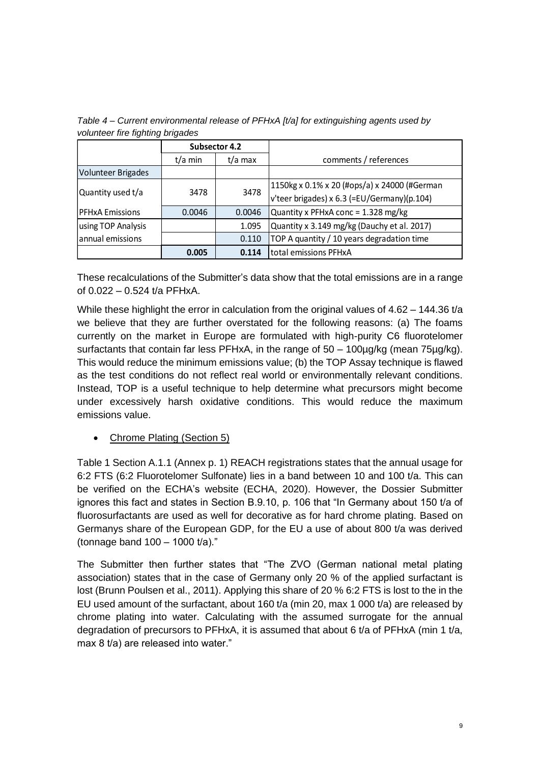|                           | Subsector 4.2 |         |                                              |  |
|---------------------------|---------------|---------|----------------------------------------------|--|
|                           | $t/a$ min     | t/a max | comments / references                        |  |
| <b>Volunteer Brigades</b> |               |         |                                              |  |
|                           |               | 3478    | 1150kg x 0.1% x 20 (#ops/a) x 24000 (#German |  |
| Quantity used t/a         | 3478          |         | v'teer brigades) x 6.3 (=EU/Germany)(p.104)  |  |
| <b>PFHxA Emissions</b>    | 0.0046        | 0.0046  | Quantity x PFHxA conc = 1.328 mg/kg          |  |
| using TOP Analysis        |               | 1.095   | Quantity x 3.149 mg/kg (Dauchy et al. 2017)  |  |
| annual emissions          |               | 0.110   | TOP A quantity / 10 years degradation time   |  |
|                           | 0.005         | 0.114   | total emissions PFHxA                        |  |

*Table 4 – Current environmental release of PFHxA [t/a] for extinguishing agents used by volunteer fire fighting brigades* 

These recalculations of the Submitter's data show that the total emissions are in a range of 0.022 – 0.524 t/a PFHxA.

While these highlight the error in calculation from the original values of 4.62 – 144.36 t/a we believe that they are further overstated for the following reasons: (a) The foams currently on the market in Europe are formulated with high-purity C6 fluorotelomer surfactants that contain far less PFHxA, in the range of 50 – 100µg/kg (mean 75µg/kg). This would reduce the minimum emissions value; (b) the TOP Assay technique is flawed as the test conditions do not reflect real world or environmentally relevant conditions. Instead, TOP is a useful technique to help determine what precursors might become under excessively harsh oxidative conditions. This would reduce the maximum emissions value.

#### • Chrome Plating (Section 5)

Table 1 Section A.1.1 (Annex p. 1) REACH registrations states that the annual usage for 6:2 FTS (6:2 Fluorotelomer Sulfonate) lies in a band between 10 and 100 t/a. This can be verified on the ECHA's website [\(ECHA,](https://echa.europa.eu/substance-information/-/substanceinfo/100.044.149) 2020). However, the Dossier Submitter ignores this fact and states in Section B.9.10, p. 106 that "In Germany about 150 t/a of fluorosurfactants are used as well for decorative as for hard chrome plating. Based on Germanys share of the European GDP, for the EU a use of about 800 t/a was derived (tonnage band 100 – 1000 t/a)."

The Submitter then further states that "The ZVO (German national metal plating association) states that in the case of Germany only 20 % of the applied surfactant is lost (Brunn Poulsen et al., 2011). Applying this share of 20 % 6:2 FTS is lost to the in the EU used amount of the surfactant, about 160 t/a (min 20, max 1 000 t/a) are released by chrome plating into water. Calculating with the assumed surrogate for the annual degradation of precursors to PFHxA, it is assumed that about 6 t/a of PFHxA (min 1 t/a, max 8 t/a) are released into water."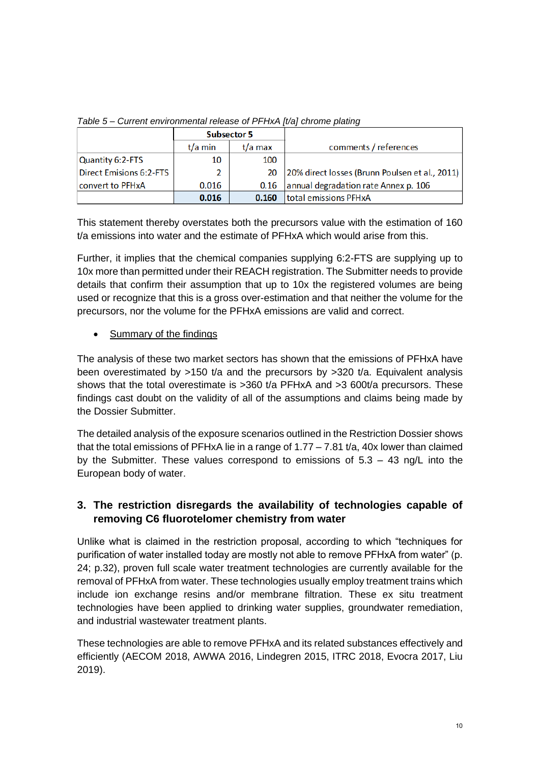|                                | <b>Subsector 5</b> |           |                                                |
|--------------------------------|--------------------|-----------|------------------------------------------------|
|                                | t/a min            | $t/a$ max | comments / references                          |
| Quantity 6:2-FTS               | 10                 | 100       |                                                |
| <b>Direct Emisions 6:2-FTS</b> | 2                  | 20        | 20% direct losses (Brunn Poulsen et al., 2011) |
| convert to PFHxA               | 0.016              | 0.16      | annual degradation rate Annex p. 106           |
|                                | 0.016              | 0.160     | total emissions PFHxA                          |

*Table 5 – Current environmental release of PFHxA [t/a] chrome plating*

This statement thereby overstates both the precursors value with the estimation of 160 t/a emissions into water and the estimate of PFHxA which would arise from this.

Further, it implies that the chemical companies supplying 6:2-FTS are supplying up to 10x more than permitted under their REACH registration. The Submitter needs to provide details that confirm their assumption that up to 10x the registered volumes are being used or recognize that this is a gross over-estimation and that neither the volume for the precursors, nor the volume for the PFHxA emissions are valid and correct.

• Summary of the findings

The analysis of these two market sectors has shown that the emissions of PFHxA have been overestimated by  $>150$  t/a and the precursors by  $>320$  t/a. Equivalent analysis shows that the total overestimate is >360 t/a PFHxA and >3 600t/a precursors. These findings cast doubt on the validity of all of the assumptions and claims being made by the Dossier Submitter.

The detailed analysis of the exposure scenarios outlined in the Restriction Dossier shows that the total emissions of PFHxA lie in a range of  $1.77 - 7.81$  t/a, 40x lower than claimed by the Submitter. These values correspond to emissions of  $5.3 - 43$  ng/L into the European body of water.

## **3. The restriction disregards the availability of technologies capable of removing C6 fluorotelomer chemistry from water**

Unlike what is claimed in the restriction proposal, according to which "techniques for purification of water installed today are mostly not able to remove PFHxA from water" (p. 24; p.32), proven full scale water treatment technologies are currently available for the removal of PFHxA from water. These technologies usually employ treatment trains which include ion exchange resins and/or membrane filtration. These ex situ treatment technologies have been applied to drinking water supplies, groundwater remediation, and industrial wastewater treatment plants.

These technologies are able to remove PFHxA and its related substances effectively and efficiently (AECOM 2018, AWWA 2016, Lindegren 2015, ITRC 2018, Evocra 2017, Liu 2019).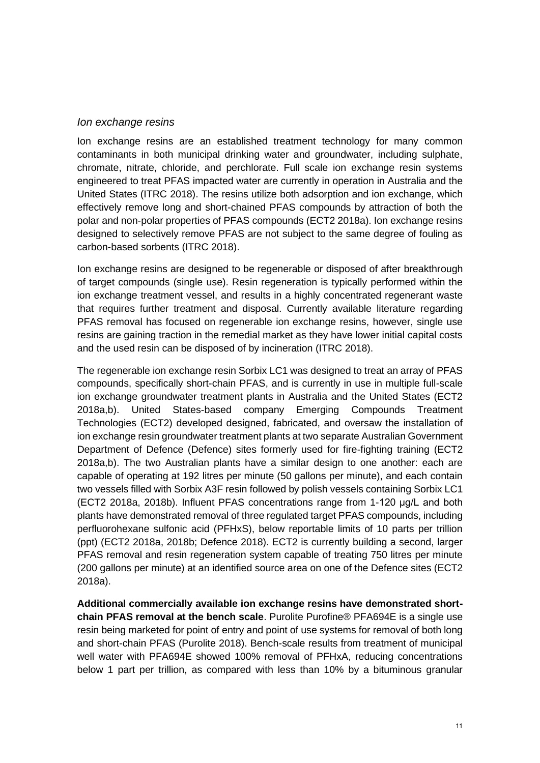#### *Ion exchange resins*

Ion exchange resins are an established treatment technology for many common contaminants in both municipal drinking water and groundwater, including sulphate, chromate, nitrate, chloride, and perchlorate. Full scale ion exchange resin systems engineered to treat PFAS impacted water are currently in operation in Australia and the United States (ITRC 2018). The resins utilize both adsorption and ion exchange, which effectively remove long and short-chained PFAS compounds by attraction of both the polar and non-polar properties of PFAS compounds (ECT2 2018a). Ion exchange resins designed to selectively remove PFAS are not subject to the same degree of fouling as carbon-based sorbents (ITRC 2018).

Ion exchange resins are designed to be regenerable or disposed of after breakthrough of target compounds (single use). Resin regeneration is typically performed within the ion exchange treatment vessel, and results in a highly concentrated regenerant waste that requires further treatment and disposal. Currently available literature regarding PFAS removal has focused on regenerable ion exchange resins, however, single use resins are gaining traction in the remedial market as they have lower initial capital costs and the used resin can be disposed of by incineration (ITRC 2018).

The regenerable ion exchange resin Sorbix LC1 was designed to treat an array of PFAS compounds, specifically short-chain PFAS, and is currently in use in multiple full-scale ion exchange groundwater treatment plants in Australia and the United States (ECT2 2018a,b). United States-based company Emerging Compounds Treatment Technologies (ECT2) developed designed, fabricated, and oversaw the installation of ion exchange resin groundwater treatment plants at two separate Australian Government Department of Defence (Defence) sites formerly used for fire-fighting training (ECT2 2018a,b). The two Australian plants have a similar design to one another: each are capable of operating at 192 litres per minute (50 gallons per minute), and each contain two vessels filled with Sorbix A3F resin followed by polish vessels containing Sorbix LC1 (ECT2 2018a, 2018b). Influent PFAS concentrations range from 1-120 μg/L and both plants have demonstrated removal of three regulated target PFAS compounds, including perfluorohexane sulfonic acid (PFHxS), below reportable limits of 10 parts per trillion (ppt) (ECT2 2018a, 2018b; Defence 2018). ECT2 is currently building a second, larger PFAS removal and resin regeneration system capable of treating 750 litres per minute (200 gallons per minute) at an identified source area on one of the Defence sites (ECT2 2018a).

**Additional commercially available ion exchange resins have demonstrated shortchain PFAS removal at the bench scale**. Purolite Purofine® PFA694E is a single use resin being marketed for point of entry and point of use systems for removal of both long and short-chain PFAS (Purolite 2018). Bench-scale results from treatment of municipal well water with PFA694E showed 100% removal of PFHxA, reducing concentrations below 1 part per trillion, as compared with less than 10% by a bituminous granular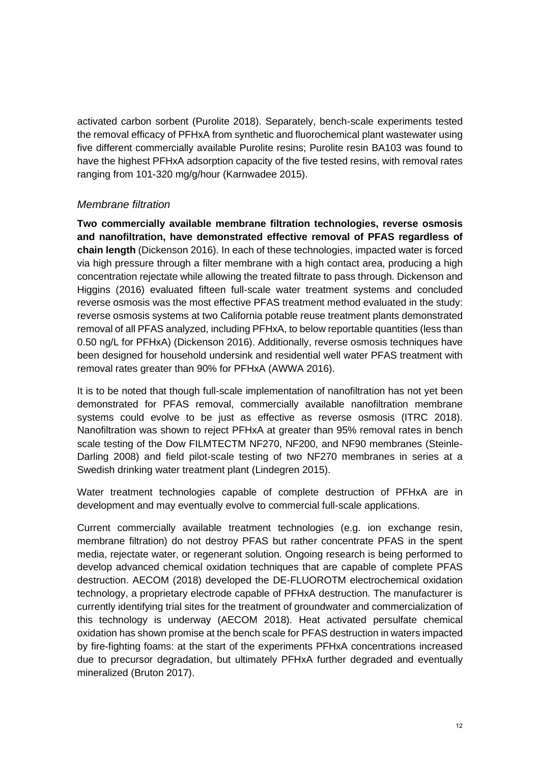activated carbon sorbent (Purolite 2018). Separately, bench-scale experiments tested the removal efficacy of PFHxA from synthetic and fluorochemical plant wastewater using five different commercially available Purolite resins; Purolite resin BA103 was found to have the highest PFHxA adsorption capacity of the five tested resins, with removal rates ranging from 101-320 mg/g/hour (Karnwadee 2015).

#### *Membrane filtration*

**Two commercially available membrane filtration technologies, reverse osmosis and nanofiltration, have demonstrated effective removal of PFAS regardless of chain length** (Dickenson 2016). In each of these technologies, impacted water is forced via high pressure through a filter membrane with a high contact area, producing a high concentration rejectate while allowing the treated filtrate to pass through. Dickenson and Higgins (2016) evaluated fifteen full-scale water treatment systems and concluded reverse osmosis was the most effective PFAS treatment method evaluated in the study: reverse osmosis systems at two California potable reuse treatment plants demonstrated removal of all PFAS analyzed, including PFHxA, to below reportable quantities (less than 0.50 ng/L for PFHxA) (Dickenson 2016). Additionally, reverse osmosis techniques have been designed for household undersink and residential well water PFAS treatment with removal rates greater than 90% for PFHxA (AWWA 2016).

It is to be noted that though full-scale implementation of nanofiltration has not yet been demonstrated for PFAS removal, commercially available nanofiltration membrane systems could evolve to be just as effective as reverse osmosis (ITRC 2018). Nanofiltration was shown to reject PFHxA at greater than 95% removal rates in bench scale testing of the Dow FILMTECTM NF270, NF200, and NF90 membranes (Steinle-Darling 2008) and field pilot-scale testing of two NF270 membranes in series at a Swedish drinking water treatment plant (Lindegren 2015).

Water treatment technologies capable of complete destruction of PFHxA are in development and may eventually evolve to commercial full-scale applications.

Current commercially available treatment technologies (e.g. ion exchange resin, membrane filtration) do not destroy PFAS but rather concentrate PFAS in the spent media, rejectate water, or regenerant solution. Ongoing research is being performed to develop advanced chemical oxidation techniques that are capable of complete PFAS destruction. AECOM (2018) developed the DE-FLUOROTM electrochemical oxidation technology, a proprietary electrode capable of PFHxA destruction. The manufacturer is currently identifying trial sites for the treatment of groundwater and commercialization of this technology is underway (AECOM 2018). Heat activated persulfate chemical oxidation has shown promise at the bench scale for PFAS destruction in waters impacted by fire-fighting foams: at the start of the experiments PFHxA concentrations increased due to precursor degradation, but ultimately PFHxA further degraded and eventually mineralized (Bruton 2017).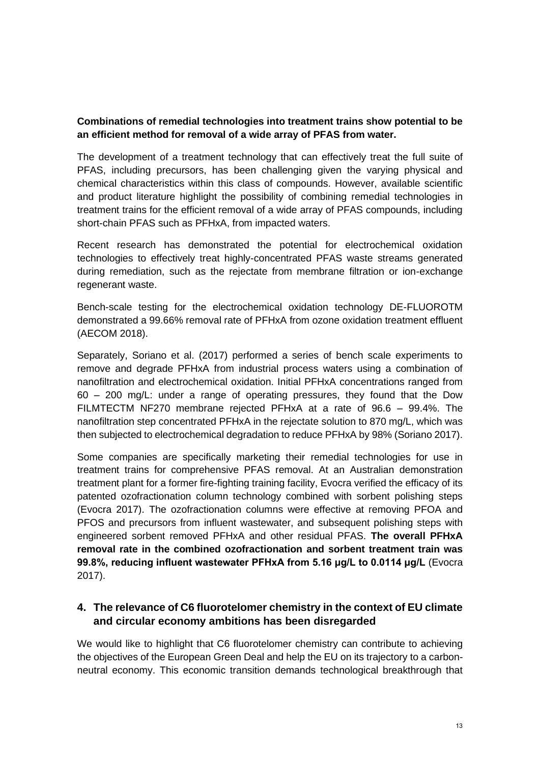#### **Combinations of remedial technologies into treatment trains show potential to be an efficient method for removal of a wide array of PFAS from water.**

The development of a treatment technology that can effectively treat the full suite of PFAS, including precursors, has been challenging given the varying physical and chemical characteristics within this class of compounds. However, available scientific and product literature highlight the possibility of combining remedial technologies in treatment trains for the efficient removal of a wide array of PFAS compounds, including short-chain PFAS such as PFHxA, from impacted waters.

Recent research has demonstrated the potential for electrochemical oxidation technologies to effectively treat highly-concentrated PFAS waste streams generated during remediation, such as the rejectate from membrane filtration or ion-exchange regenerant waste.

Bench-scale testing for the electrochemical oxidation technology DE-FLUOROTM demonstrated a 99.66% removal rate of PFHxA from ozone oxidation treatment effluent (AECOM 2018).

Separately, Soriano et al. (2017) performed a series of bench scale experiments to remove and degrade PFHxA from industrial process waters using a combination of nanofiltration and electrochemical oxidation. Initial PFHxA concentrations ranged from  $60 - 200$  mg/L: under a range of operating pressures, they found that the Dow FILMTECTM NF270 membrane rejected PFHxA at a rate of 96.6 – 99.4%. The nanofiltration step concentrated PFHxA in the rejectate solution to 870 mg/L, which was then subjected to electrochemical degradation to reduce PFHxA by 98% (Soriano 2017).

Some companies are specifically marketing their remedial technologies for use in treatment trains for comprehensive PFAS removal. At an Australian demonstration treatment plant for a former fire-fighting training facility, Evocra verified the efficacy of its patented ozofractionation column technology combined with sorbent polishing steps (Evocra 2017). The ozofractionation columns were effective at removing PFOA and PFOS and precursors from influent wastewater, and subsequent polishing steps with engineered sorbent removed PFHxA and other residual PFAS. **The overall PFHxA removal rate in the combined ozofractionation and sorbent treatment train was 99.8%, reducing influent wastewater PFHxA from 5.16 μg/L to 0.0114 μg/L** (Evocra 2017).

## **4. The relevance of C6 fluorotelomer chemistry in the context of EU climate and circular economy ambitions has been disregarded**

We would like to highlight that C6 fluorotelomer chemistry can contribute to achieving the objectives of the European Green Deal and help the EU on its trajectory to a carbonneutral economy. This economic transition demands technological breakthrough that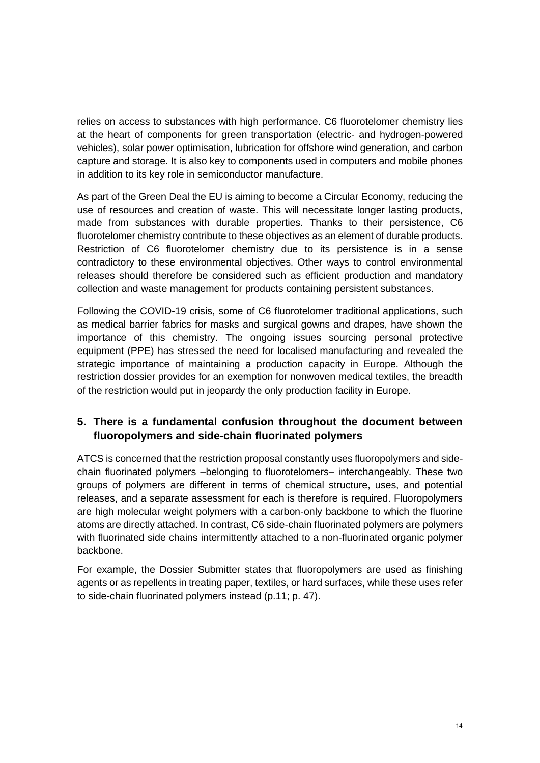relies on access to substances with high performance. C6 fluorotelomer chemistry lies at the heart of components for green transportation (electric- and hydrogen-powered vehicles), solar power optimisation, lubrication for offshore wind generation, and carbon capture and storage. It is also key to components used in computers and mobile phones in addition to its key role in semiconductor manufacture.

As part of the Green Deal the EU is aiming to become a Circular Economy, reducing the use of resources and creation of waste. This will necessitate longer lasting products, made from substances with durable properties. Thanks to their persistence, C6 fluorotelomer chemistry contribute to these objectives as an element of durable products. Restriction of C6 fluorotelomer chemistry due to its persistence is in a sense contradictory to these environmental objectives. Other ways to control environmental releases should therefore be considered such as efficient production and mandatory collection and waste management for products containing persistent substances.

Following the COVID-19 crisis, some of C6 fluorotelomer traditional applications, such as medical barrier fabrics for masks and surgical gowns and drapes, have shown the importance of this chemistry. The ongoing issues sourcing personal protective equipment (PPE) has stressed the need for localised manufacturing and revealed the strategic importance of maintaining a production capacity in Europe. Although the restriction dossier provides for an exemption for nonwoven medical textiles, the breadth of the restriction would put in jeopardy the only production facility in Europe.

## **5. There is a fundamental confusion throughout the document between fluoropolymers and side-chain fluorinated polymers**

ATCS is concerned that the restriction proposal constantly uses fluoropolymers and sidechain fluorinated polymers –belonging to fluorotelomers– interchangeably. These two groups of polymers are different in terms of chemical structure, uses, and potential releases, and a separate assessment for each is therefore is required. Fluoropolymers are high molecular weight polymers with a carbon-only backbone to which the fluorine atoms are directly attached. In contrast, C6 side-chain fluorinated polymers are polymers with fluorinated side chains intermittently attached to a non-fluorinated organic polymer backbone.

For example, the Dossier Submitter states that fluoropolymers are used as finishing agents or as repellents in treating paper, textiles, or hard surfaces, while these uses refer to side-chain fluorinated polymers instead (p.11; p. 47).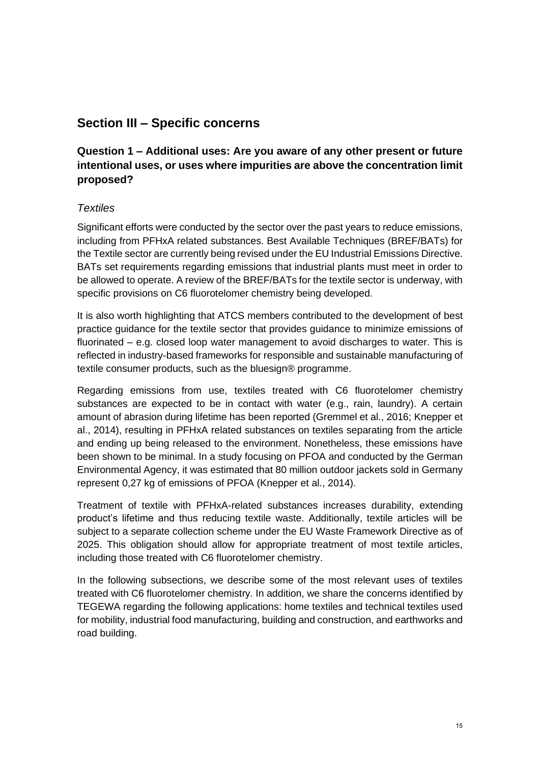## **Section III – Specific concerns**

## **Question 1 – Additional uses: Are you aware of any other present or future intentional uses, or uses where impurities are above the concentration limit proposed?**

#### *Textiles*

Significant efforts were conducted by the sector over the past years to reduce emissions, including from PFHxA related substances. Best Available Techniques (BREF/BATs) for the Textile sector are currently being revised under the EU Industrial Emissions Directive. BATs set requirements regarding emissions that industrial plants must meet in order to be allowed to operate. A review of the BREF/BATs for the textile sector is underway, with specific provisions on C6 fluorotelomer chemistry being developed.

It is also worth highlighting that ATCS members contributed to the development of best practice guidance for the textile sector that provides guidance to minimize emissions of fluorinated – e.g. closed loop water management to avoid discharges to water. This is reflected in industry-based frameworks for responsible and sustainable manufacturing of textile consumer products, such as the bluesign® programme.

Regarding emissions from use, textiles treated with C6 fluorotelomer chemistry substances are expected to be in contact with water (e.g., rain, laundry). A certain amount of abrasion during lifetime has been reported (Gremmel et al., 2016; Knepper et al., 2014), resulting in PFHxA related substances on textiles separating from the article and ending up being released to the environment. Nonetheless, these emissions have been shown to be minimal. In a study focusing on PFOA and conducted by the German Environmental Agency, it was estimated that 80 million outdoor jackets sold in Germany represent 0,27 kg of emissions of PFOA (Knepper et al., 2014).

Treatment of textile with PFHxA-related substances increases durability, extending product's lifetime and thus reducing textile waste. Additionally, textile articles will be subject to a separate collection scheme under the EU Waste Framework Directive as of 2025. This obligation should allow for appropriate treatment of most textile articles, including those treated with C6 fluorotelomer chemistry.

In the following subsections, we describe some of the most relevant uses of textiles treated with C6 fluorotelomer chemistry. In addition, we share the concerns identified by TEGEWA regarding the following applications: home textiles and technical textiles used for mobility, industrial food manufacturing, building and construction, and earthworks and road building.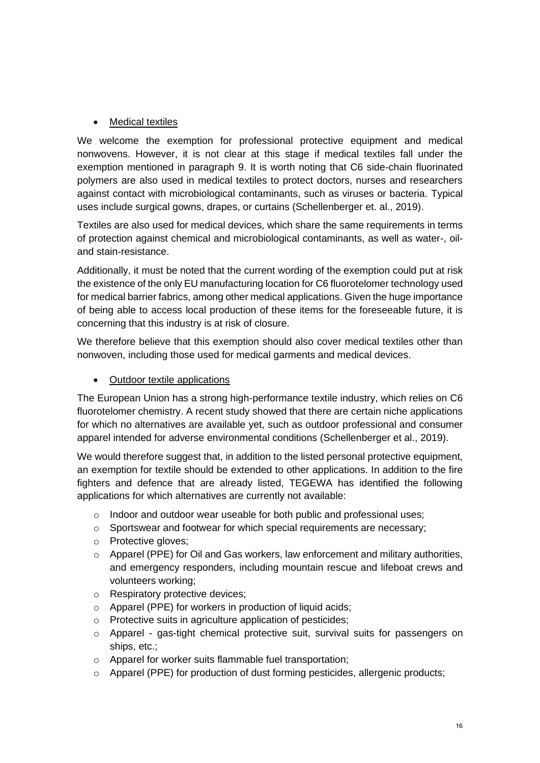#### • Medical textiles

We welcome the exemption for professional protective equipment and medical nonwovens. However, it is not clear at this stage if medical textiles fall under the exemption mentioned in paragraph 9. It is worth noting that C6 side-chain fluorinated polymers are also used in medical textiles to protect doctors, nurses and researchers against contact with microbiological contaminants, such as viruses or bacteria. Typical uses include surgical gowns, drapes, or curtains (Schellenberger et. al., 2019).

Textiles are also used for medical devices, which share the same requirements in terms of protection against chemical and microbiological contaminants, as well as water-, oiland stain-resistance.

Additionally, it must be noted that the current wording of the exemption could put at risk the existence of the only EU manufacturing location for C6 fluorotelomer technology used for medical barrier fabrics, among other medical applications. Given the huge importance of being able to access local production of these items for the foreseeable future, it is concerning that this industry is at risk of closure.

We therefore believe that this exemption should also cover medical textiles other than nonwoven, including those used for medical garments and medical devices.

#### • Outdoor textile applications

The European Union has a strong high-performance textile industry, which relies on C6 fluorotelomer chemistry. A recent study showed that there are certain niche applications for which no alternatives are available yet, such as outdoor professional and consumer apparel intended for adverse environmental conditions (Schellenberger et al., 2019).

We would therefore suggest that, in addition to the listed personal protective equipment, an exemption for textile should be extended to other applications. In addition to the fire fighters and defence that are already listed, TEGEWA has identified the following applications for which alternatives are currently not available:

- o Indoor and outdoor wear useable for both public and professional uses;
- o Sportswear and footwear for which special requirements are necessary;
- o Protective gloves;
- o Apparel (PPE) for Oil and Gas workers, law enforcement and military authorities, and emergency responders, including mountain rescue and lifeboat crews and volunteers working;
- o Respiratory protective devices;
- o Apparel (PPE) for workers in production of liquid acids;
- o Protective suits in agriculture application of pesticides;
- $\circ$  Apparel gas-tight chemical protective suit, survival suits for passengers on ships, etc.;
- o Apparel for worker suits flammable fuel transportation;
- o Apparel (PPE) for production of dust forming pesticides, allergenic products;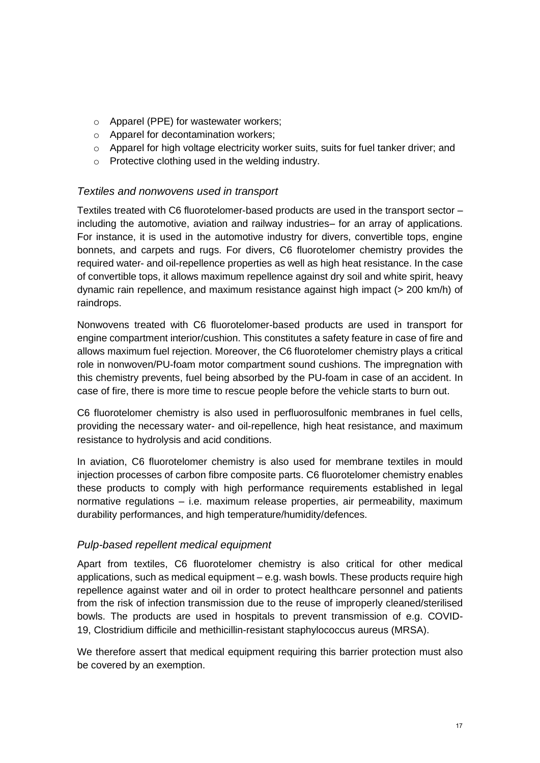- o Apparel (PPE) for wastewater workers;
- o Apparel for decontamination workers;
- $\circ$  Apparel for high voltage electricity worker suits, suits for fuel tanker driver; and
- o Protective clothing used in the welding industry.

#### *Textiles and nonwovens used in transport*

Textiles treated with C6 fluorotelomer-based products are used in the transport sector – including the automotive, aviation and railway industries– for an array of applications. For instance, it is used in the automotive industry for divers, convertible tops, engine bonnets, and carpets and rugs. For divers, C6 fluorotelomer chemistry provides the required water- and oil-repellence properties as well as high heat resistance. In the case of convertible tops, it allows maximum repellence against dry soil and white spirit, heavy dynamic rain repellence, and maximum resistance against high impact (> 200 km/h) of raindrops.

Nonwovens treated with C6 fluorotelomer-based products are used in transport for engine compartment interior/cushion. This constitutes a safety feature in case of fire and allows maximum fuel rejection. Moreover, the C6 fluorotelomer chemistry plays a critical role in nonwoven/PU-foam motor compartment sound cushions. The impregnation with this chemistry prevents, fuel being absorbed by the PU-foam in case of an accident. In case of fire, there is more time to rescue people before the vehicle starts to burn out.

C6 fluorotelomer chemistry is also used in perfluorosulfonic membranes in fuel cells, providing the necessary water- and oil-repellence, high heat resistance, and maximum resistance to hydrolysis and acid conditions.

In aviation, C6 fluorotelomer chemistry is also used for membrane textiles in mould injection processes of carbon fibre composite parts. C6 fluorotelomer chemistry enables these products to comply with high performance requirements established in legal normative regulations – i.e. maximum release properties, air permeability, maximum durability performances, and high temperature/humidity/defences.

#### *Pulp-based repellent medical equipment*

Apart from textiles, C6 fluorotelomer chemistry is also critical for other medical applications, such as medical equipment – e.g. wash bowls. These products require high repellence against water and oil in order to protect healthcare personnel and patients from the risk of infection transmission due to the reuse of improperly cleaned/sterilised bowls. The products are used in hospitals to prevent transmission of e.g. COVID-19, Clostridium difficile and methicillin-resistant staphylococcus aureus (MRSA).

We therefore assert that medical equipment requiring this barrier protection must also be covered by an exemption.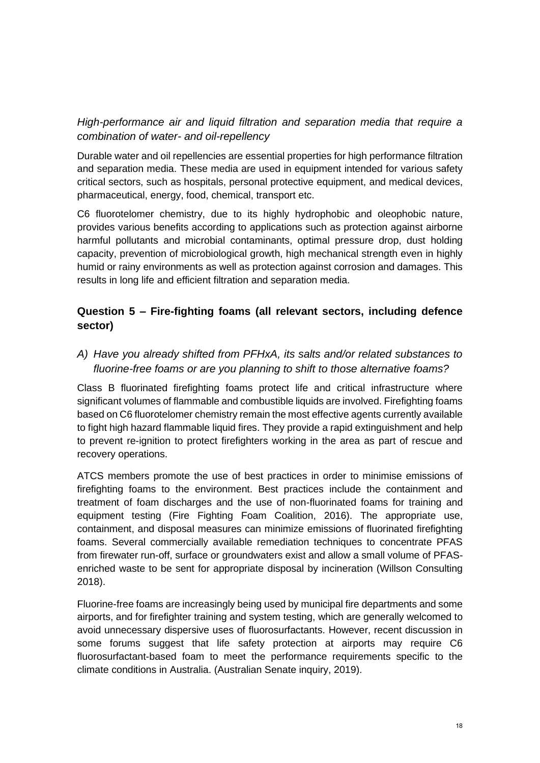## *High-performance air and liquid filtration and separation media that require a combination of water- and oil-repellency*

Durable water and oil repellencies are essential properties for high performance filtration and separation media. These media are used in equipment intended for various safety critical sectors, such as hospitals, personal protective equipment, and medical devices, pharmaceutical, energy, food, chemical, transport etc.

C6 fluorotelomer chemistry, due to its highly hydrophobic and oleophobic nature, provides various benefits according to applications such as protection against airborne harmful pollutants and microbial contaminants, optimal pressure drop, dust holding capacity, prevention of microbiological growth, high mechanical strength even in highly humid or rainy environments as well as protection against corrosion and damages. This results in long life and efficient filtration and separation media.

## **Question 5 – Fire-fighting foams (all relevant sectors, including defence sector)**

*A) Have you already shifted from PFHxA, its salts and/or related substances to fluorine-free foams or are you planning to shift to those alternative foams?*

Class B fluorinated firefighting foams protect life and critical infrastructure where significant volumes of flammable and combustible liquids are involved. Firefighting foams based on C6 fluorotelomer chemistry remain the most effective agents currently available to fight high hazard flammable liquid fires. They provide a rapid extinguishment and help to prevent re-ignition to protect firefighters working in the area as part of rescue and recovery operations.

ATCS members promote the use of best practices in order to minimise emissions of firefighting foams to the environment. Best practices include the containment and treatment of foam discharges and the use of non-fluorinated foams for training and equipment testing (Fire Fighting Foam Coalition, 2016). The appropriate use, containment, and disposal measures can minimize emissions of fluorinated firefighting foams. Several commercially available remediation techniques to concentrate PFAS from firewater run-off, surface or groundwaters exist and allow a small volume of PFASenriched waste to be sent for appropriate disposal by incineration (Willson Consulting 2018).

Fluorine-free foams are increasingly being used by municipal fire departments and some airports, and for firefighter training and system testing, which are generally welcomed to avoid unnecessary dispersive uses of fluorosurfactants. However, recent discussion in some forums suggest that life safety protection at airports may require C6 fluorosurfactant-based foam to meet the performance requirements specific to the climate conditions in Australia. (Australian Senate inquiry, 2019).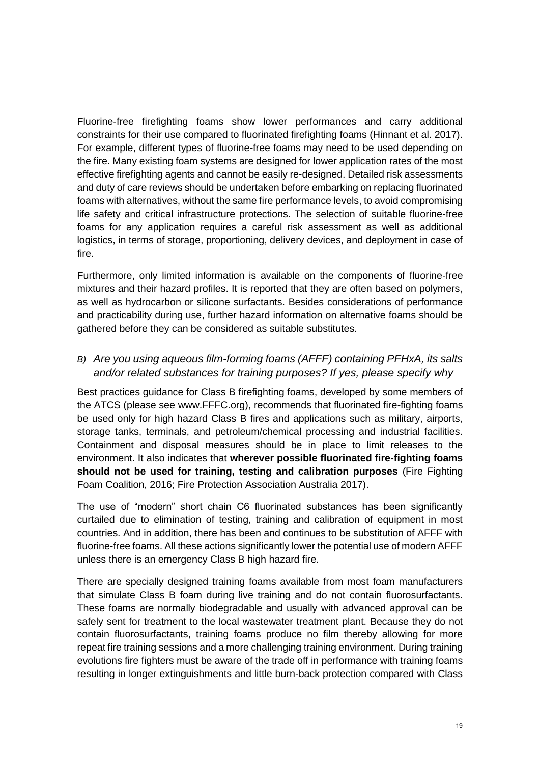Fluorine-free firefighting foams show lower performances and carry additional constraints for their use compared to fluorinated firefighting foams (Hinnant et al. 2017). For example, different types of fluorine-free foams may need to be used depending on the fire. Many existing foam systems are designed for lower application rates of the most effective firefighting agents and cannot be easily re-designed. Detailed risk assessments and duty of care reviews should be undertaken before embarking on replacing fluorinated foams with alternatives, without the same fire performance levels, to avoid compromising life safety and critical infrastructure protections. The selection of suitable fluorine-free foams for any application requires a careful risk assessment as well as additional logistics, in terms of storage, proportioning, delivery devices, and deployment in case of fire.

Furthermore, only limited information is available on the components of fluorine-free mixtures and their hazard profiles. It is reported that they are often based on polymers, as well as hydrocarbon or silicone surfactants. Besides considerations of performance and practicability during use, further hazard information on alternative foams should be gathered before they can be considered as suitable substitutes.

## *B) Are you using aqueous film-forming foams (AFFF) containing PFHxA, its salts and/or related substances for training purposes? If yes, please specify why*

Best practices guidance for Class B firefighting foams, developed by some members of the ATCS (please see www.FFFC.org), recommends that fluorinated fire-fighting foams be used only for high hazard Class B fires and applications such as military, airports, storage tanks, terminals, and petroleum/chemical processing and industrial facilities. Containment and disposal measures should be in place to limit releases to the environment. It also indicates that **wherever possible fluorinated fire-fighting foams should not be used for training, testing and calibration purposes** (Fire Fighting Foam Coalition, 2016; Fire Protection Association Australia 2017).

The use of "modern" short chain C6 fluorinated substances has been significantly curtailed due to elimination of testing, training and calibration of equipment in most countries. And in addition, there has been and continues to be substitution of AFFF with fluorine-free foams. All these actions significantly lower the potential use of modern AFFF unless there is an emergency Class B high hazard fire.

There are specially designed training foams available from most foam manufacturers that simulate Class B foam during live training and do not contain fluorosurfactants. These foams are normally biodegradable and usually with advanced approval can be safely sent for treatment to the local wastewater treatment plant. Because they do not contain fluorosurfactants, training foams produce no film thereby allowing for more repeat fire training sessions and a more challenging training environment. During training evolutions fire fighters must be aware of the trade off in performance with training foams resulting in longer extinguishments and little burn-back protection compared with Class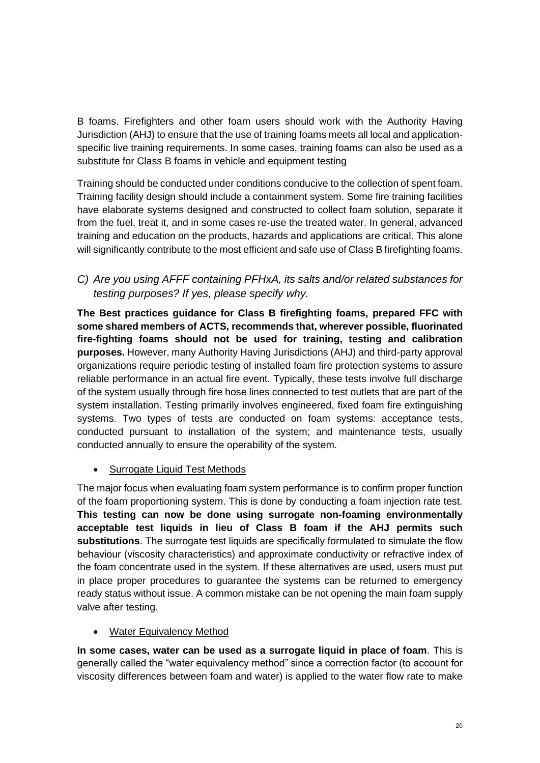B foams. Firefighters and other foam users should work with the Authority Having Jurisdiction (AHJ) to ensure that the use of training foams meets all local and applicationspecific live training requirements. In some cases, training foams can also be used as a substitute for Class B foams in vehicle and equipment testing

Training should be conducted under conditions conducive to the collection of spent foam. Training facility design should include a containment system. Some fire training facilities have elaborate systems designed and constructed to collect foam solution, separate it from the fuel, treat it, and in some cases re-use the treated water. In general, advanced training and education on the products, hazards and applications are critical. This alone will significantly contribute to the most efficient and safe use of Class B firefighting foams.

*C) Are you using AFFF containing PFHxA, its salts and/or related substances for testing purposes? If yes, please specify why.*

**The Best practices guidance for Class B firefighting foams, prepared FFC with some shared members of ACTS, recommends that, wherever possible, fluorinated fire-fighting foams should not be used for training, testing and calibration purposes.** However, many Authority Having Jurisdictions (AHJ) and third-party approval organizations require periodic testing of installed foam fire protection systems to assure reliable performance in an actual fire event. Typically, these tests involve full discharge of the system usually through fire hose lines connected to test outlets that are part of the system installation. Testing primarily involves engineered, fixed foam fire extinguishing systems. Two types of tests are conducted on foam systems: acceptance tests, conducted pursuant to installation of the system; and maintenance tests, usually conducted annually to ensure the operability of the system.

• Surrogate Liquid Test Methods

The major focus when evaluating foam system performance is to confirm proper function of the foam proportioning system. This is done by conducting a foam injection rate test. **This testing can now be done using surrogate non-foaming environmentally acceptable test liquids in lieu of Class B foam if the AHJ permits such substitutions**. The surrogate test liquids are specifically formulated to simulate the flow behaviour (viscosity characteristics) and approximate conductivity or refractive index of the foam concentrate used in the system. If these alternatives are used, users must put in place proper procedures to guarantee the systems can be returned to emergency ready status without issue. A common mistake can be not opening the main foam supply valve after testing.

• Water Equivalency Method

**In some cases, water can be used as a surrogate liquid in place of foam**. This is generally called the "water equivalency method" since a correction factor (to account for viscosity differences between foam and water) is applied to the water flow rate to make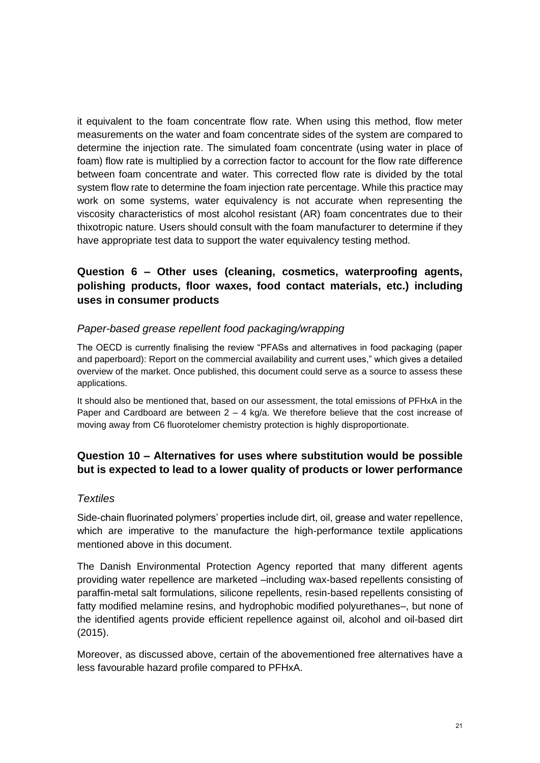it equivalent to the foam concentrate flow rate. When using this method, flow meter measurements on the water and foam concentrate sides of the system are compared to determine the injection rate. The simulated foam concentrate (using water in place of foam) flow rate is multiplied by a correction factor to account for the flow rate difference between foam concentrate and water. This corrected flow rate is divided by the total system flow rate to determine the foam injection rate percentage. While this practice may work on some systems, water equivalency is not accurate when representing the viscosity characteristics of most alcohol resistant (AR) foam concentrates due to their thixotropic nature. Users should consult with the foam manufacturer to determine if they have appropriate test data to support the water equivalency testing method.

## **Question 6 – Other uses (cleaning, cosmetics, waterproofing agents, polishing products, floor waxes, food contact materials, etc.) including uses in consumer products**

#### *Paper-based grease repellent food packaging/wrapping*

The OECD is currently finalising the review "PFASs and alternatives in food packaging (paper and paperboard): Report on the commercial availability and current uses," which gives a detailed overview of the market. Once published, this document could serve as a source to assess these applications.

It should also be mentioned that, based on our assessment, the total emissions of PFHxA in the Paper and Cardboard are between  $2 - 4$  kg/a. We therefore believe that the cost increase of moving away from C6 fluorotelomer chemistry protection is highly disproportionate.

## **Question 10 – Alternatives for uses where substitution would be possible but is expected to lead to a lower quality of products or lower performance**

#### *Textiles*

Side-chain fluorinated polymers' properties include dirt, oil, grease and water repellence, which are imperative to the manufacture the high-performance textile applications mentioned above in this document.

The Danish Environmental Protection Agency reported that many different agents providing water repellence are marketed –including wax-based repellents consisting of paraffin-metal salt formulations, silicone repellents, resin-based repellents consisting of fatty modified melamine resins, and hydrophobic modified polyurethanes–, but none of the identified agents provide efficient repellence against oil, alcohol and oil-based dirt (2015).

Moreover, as discussed above, certain of the abovementioned free alternatives have a less favourable hazard profile compared to PFHxA.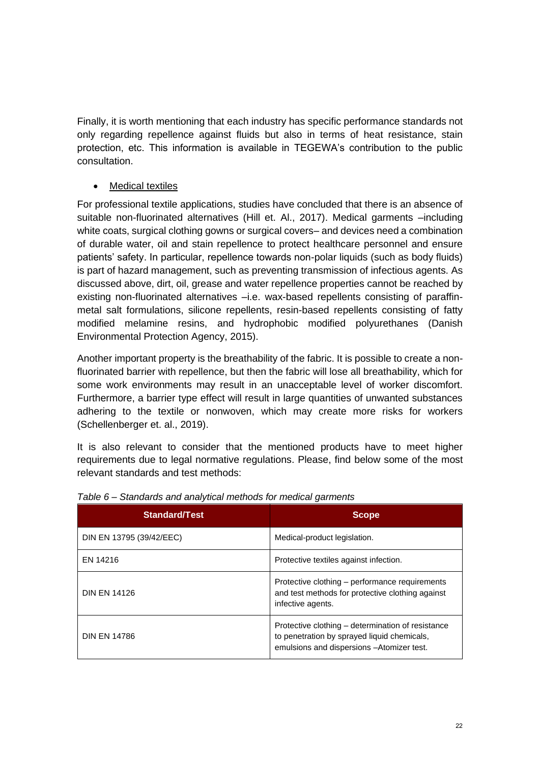Finally, it is worth mentioning that each industry has specific performance standards not only regarding repellence against fluids but also in terms of heat resistance, stain protection, etc. This information is available in TEGEWA's contribution to the public consultation.

#### **Medical textiles**

For professional textile applications, studies have concluded that there is an absence of suitable non-fluorinated alternatives (Hill et. Al., 2017). Medical garments –including white coats, surgical clothing gowns or surgical covers– and devices need a combination of durable water, oil and stain repellence to protect healthcare personnel and ensure patients' safety. In particular, repellence towards non-polar liquids (such as body fluids) is part of hazard management, such as preventing transmission of infectious agents. As discussed above, dirt, oil, grease and water repellence properties cannot be reached by existing non-fluorinated alternatives –i.e. wax-based repellents consisting of paraffinmetal salt formulations, silicone repellents, resin-based repellents consisting of fatty modified melamine resins, and hydrophobic modified polyurethanes (Danish Environmental Protection Agency, 2015).

Another important property is the breathability of the fabric. It is possible to create a nonfluorinated barrier with repellence, but then the fabric will lose all breathability, which for some work environments may result in an unacceptable level of worker discomfort. Furthermore, a barrier type effect will result in large quantities of unwanted substances adhering to the textile or nonwoven, which may create more risks for workers (Schellenberger et. al., 2019).

It is also relevant to consider that the mentioned products have to meet higher requirements due to legal normative regulations. Please, find below some of the most relevant standards and test methods:

| <b>Standard/Test</b>     | <b>Scope</b>                                                                                                                                   |
|--------------------------|------------------------------------------------------------------------------------------------------------------------------------------------|
| DIN EN 13795 (39/42/EEC) | Medical-product legislation.                                                                                                                   |
| EN 14216                 | Protective textiles against infection.                                                                                                         |
| <b>DIN EN 14126</b>      | Protective clothing – performance requirements<br>and test methods for protective clothing against<br>infective agents.                        |
| <b>DIN EN 14786</b>      | Protective clothing – determination of resistance<br>to penetration by sprayed liquid chemicals,<br>emulsions and dispersions - Atomizer test. |

*Table 6 – Standards and analytical methods for medical garments*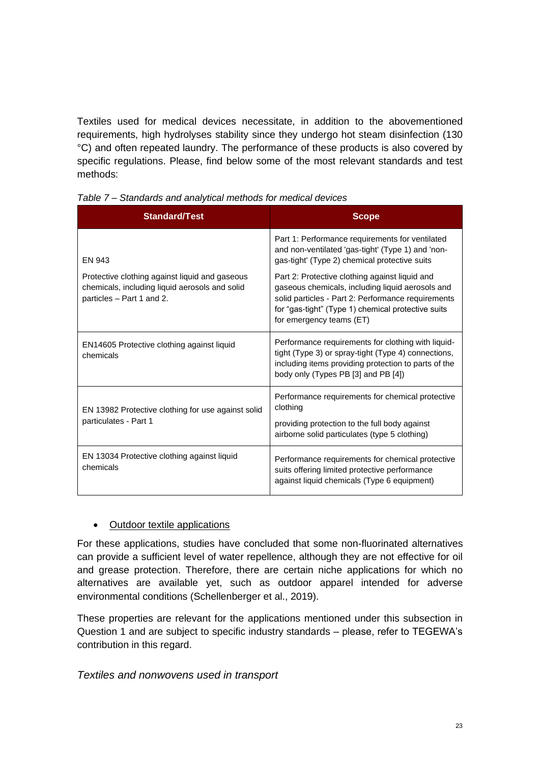Textiles used for medical devices necessitate, in addition to the abovementioned requirements, high hydrolyses stability since they undergo hot steam disinfection (130 °C) and often repeated laundry. The performance of these products is also covered by specific regulations. Please, find below some of the most relevant standards and test methods:

| <b>Standard/Test</b>                                                                                                          | <b>Scope</b>                                                                                                                                                                                                                               |
|-------------------------------------------------------------------------------------------------------------------------------|--------------------------------------------------------------------------------------------------------------------------------------------------------------------------------------------------------------------------------------------|
| <b>FN 943</b>                                                                                                                 | Part 1: Performance requirements for ventilated<br>and non-ventilated 'gas-tight' (Type 1) and 'non-<br>gas-tight' (Type 2) chemical protective suits                                                                                      |
| Protective clothing against liquid and gaseous<br>chemicals, including liquid aerosols and solid<br>particles - Part 1 and 2. | Part 2: Protective clothing against liquid and<br>gaseous chemicals, including liquid aerosols and<br>solid particles - Part 2: Performance requirements<br>for "gas-tight" (Type 1) chemical protective suits<br>for emergency teams (ET) |
| EN14605 Protective clothing against liquid<br>chemicals                                                                       | Performance requirements for clothing with liquid-<br>tight (Type 3) or spray-tight (Type 4) connections,<br>including items providing protection to parts of the<br>body only (Types PB [3] and PB [4])                                   |
| EN 13982 Protective clothing for use against solid<br>particulates - Part 1                                                   | Performance requirements for chemical protective<br>clothing<br>providing protection to the full body against<br>airborne solid particulates (type 5 clothing)                                                                             |
| EN 13034 Protective clothing against liquid<br>chemicals                                                                      | Performance requirements for chemical protective<br>suits offering limited protective performance<br>against liquid chemicals (Type 6 equipment)                                                                                           |

*Table 7 – Standards and analytical methods for medical devices*

#### • Outdoor textile applications

For these applications, studies have concluded that some non-fluorinated alternatives can provide a sufficient level of water repellence, although they are not effective for oil and grease protection. Therefore, there are certain niche applications for which no alternatives are available yet, such as outdoor apparel intended for adverse environmental conditions (Schellenberger et al., 2019).

These properties are relevant for the applications mentioned under this subsection in Question 1 and are subject to specific industry standards – please, refer to TEGEWA's contribution in this regard.

## *Textiles and nonwovens used in transport*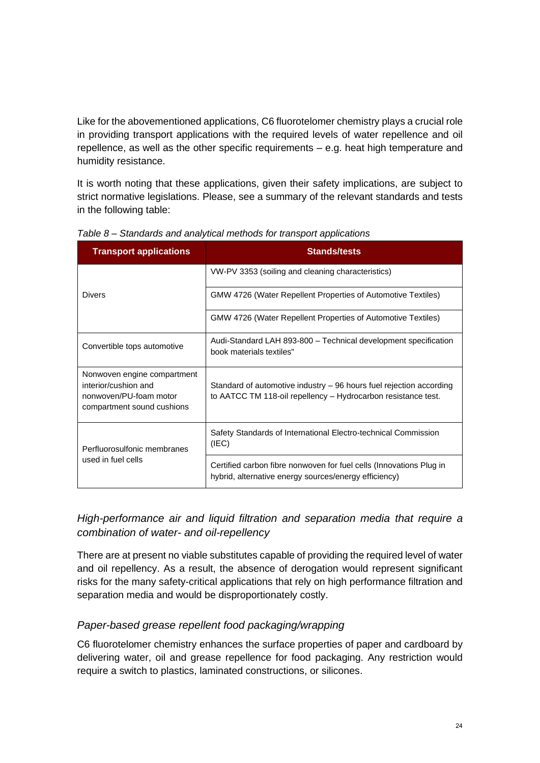Like for the abovementioned applications, C6 fluorotelomer chemistry plays a crucial role in providing transport applications with the required levels of water repellence and oil repellence, as well as the other specific requirements – e.g. heat high temperature and humidity resistance.

It is worth noting that these applications, given their safety implications, are subject to strict normative legislations. Please, see a summary of the relevant standards and tests in the following table:

| <b>Transport applications</b>                                                                               | <b>Stands/tests</b>                                                                                                                  |  |
|-------------------------------------------------------------------------------------------------------------|--------------------------------------------------------------------------------------------------------------------------------------|--|
|                                                                                                             | VW-PV 3353 (soiling and cleaning characteristics)                                                                                    |  |
| <b>Divers</b>                                                                                               | GMW 4726 (Water Repellent Properties of Automotive Textiles)                                                                         |  |
|                                                                                                             | <b>GMW 4726 (Water Repellent Properties of Automotive Textiles)</b>                                                                  |  |
| Convertible tops automotive                                                                                 | Audi-Standard LAH 893-800 - Technical development specification<br>book materials textiles"                                          |  |
| Nonwoven engine compartment<br>interior/cushion and<br>nonwoven/PU-foam motor<br>compartment sound cushions | Standard of automotive industry – 96 hours fuel rejection according<br>to AATCC TM 118-oil repellency - Hydrocarbon resistance test. |  |
| Perfluorosulfonic membranes                                                                                 | Safety Standards of International Electro-technical Commission<br>(IEC)                                                              |  |
| used in fuel cells                                                                                          | Certified carbon fibre nonwoven for fuel cells (Innovations Plug in<br>hybrid, alternative energy sources/energy efficiency)         |  |

*Table 8 – Standards and analytical methods for transport applications*

*High-performance air and liquid filtration and separation media that require a combination of water- and oil-repellency*

There are at present no viable substitutes capable of providing the required level of water and oil repellency. As a result, the absence of derogation would represent significant risks for the many safety-critical applications that rely on high performance filtration and separation media and would be disproportionately costly.

## *Paper-based grease repellent food packaging/wrapping*

C6 fluorotelomer chemistry enhances the surface properties of paper and cardboard by delivering water, oil and grease repellence for food packaging. Any restriction would require a switch to plastics, laminated constructions, or silicones.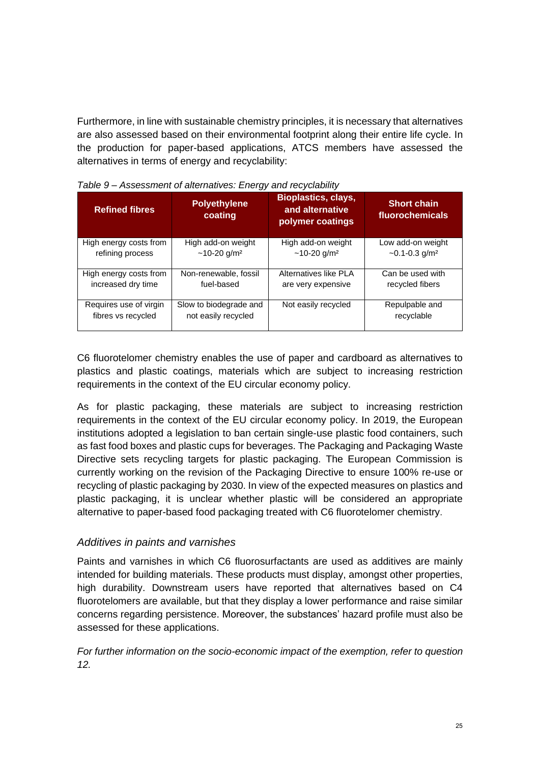Furthermore, in line with sustainable chemistry principles, it is necessary that alternatives are also assessed based on their environmental footprint along their entire life cycle. In the production for paper-based applications, ATCS members have assessed the alternatives in terms of energy and recyclability:

| <b>Refined fibres</b>  | <b>Polyethylene</b><br>coating | <b>Bioplastics, clays,</b><br>and alternative<br>polymer coatings | <b>Short chain</b><br>fluorochemicals |
|------------------------|--------------------------------|-------------------------------------------------------------------|---------------------------------------|
| High energy costs from | High add-on weight             | High add-on weight                                                | Low add-on weight                     |
| refining process       | $~10-20$ g/m <sup>2</sup>      | $~10-20$ g/m <sup>2</sup>                                         | $\sim$ 0.1-0.3 g/m <sup>2</sup>       |
| High energy costs from | Non-renewable, fossil          | Alternatives like PLA                                             | Can be used with                      |
| increased dry time     | fuel-based                     | are very expensive                                                | recycled fibers                       |
| Requires use of virgin | Slow to biodegrade and         | Not easily recycled                                               | Repulpable and                        |
| fibres vs recycled     | not easily recycled            |                                                                   | recyclable                            |

*Table 9 – Assessment of alternatives: Energy and recyclability*

C6 fluorotelomer chemistry enables the use of paper and cardboard as alternatives to plastics and plastic coatings, materials which are subject to increasing restriction requirements in the context of the EU circular economy policy.

As for plastic packaging, these materials are subject to increasing restriction requirements in the context of the EU circular economy policy. In 2019, the European institutions adopted a legislation to ban certain single-use plastic food containers, such as fast food boxes and plastic cups for beverages. The Packaging and Packaging Waste Directive sets recycling targets for plastic packaging. The European Commission is currently working on the revision of the Packaging Directive to ensure 100% re-use or recycling of plastic packaging by 2030. In view of the expected measures on plastics and plastic packaging, it is unclear whether plastic will be considered an appropriate alternative to paper-based food packaging treated with C6 fluorotelomer chemistry.

#### *Additives in paints and varnishes*

Paints and varnishes in which C6 fluorosurfactants are used as additives are mainly intended for building materials. These products must display, amongst other properties, high durability. Downstream users have reported that alternatives based on C4 fluorotelomers are available, but that they display a lower performance and raise similar concerns regarding persistence. Moreover, the substances' hazard profile must also be assessed for these applications.

*For further information on the socio-economic impact of the exemption, refer to question 12.*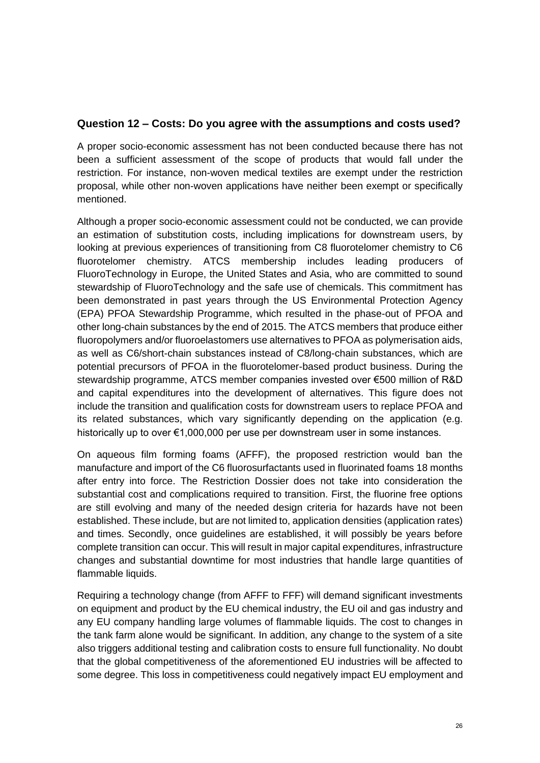#### **Question 12 – Costs: Do you agree with the assumptions and costs used?**

A proper socio-economic assessment has not been conducted because there has not been a sufficient assessment of the scope of products that would fall under the restriction. For instance, non-woven medical textiles are exempt under the restriction proposal, while other non-woven applications have neither been exempt or specifically mentioned.

Although a proper socio-economic assessment could not be conducted, we can provide an estimation of substitution costs, including implications for downstream users, by looking at previous experiences of transitioning from C8 fluorotelomer chemistry to C6 fluorotelomer chemistry. ATCS membership includes leading producers of FluoroTechnology in Europe, the United States and Asia, who are committed to sound stewardship of FluoroTechnology and the safe use of chemicals. This commitment has been demonstrated in past years through the US Environmental Protection Agency (EPA) PFOA Stewardship Programme, which resulted in the phase-out of PFOA and other long-chain substances by the end of 2015. The ATCS members that produce either fluoropolymers and/or fluoroelastomers use alternatives to PFOA as polymerisation aids, as well as C6/short-chain substances instead of C8/long-chain substances, which are potential precursors of PFOA in the fluorotelomer-based product business. During the stewardship programme, ATCS member companies invested over €500 million of R&D and capital expenditures into the development of alternatives. This figure does not include the transition and qualification costs for downstream users to replace PFOA and its related substances, which vary significantly depending on the application (e.g. historically up to over €1,000,000 per use per downstream user in some instances.

On aqueous film forming foams (AFFF), the proposed restriction would ban the manufacture and import of the C6 fluorosurfactants used in fluorinated foams 18 months after entry into force. The Restriction Dossier does not take into consideration the substantial cost and complications required to transition. First, the fluorine free options are still evolving and many of the needed design criteria for hazards have not been established. These include, but are not limited to, application densities (application rates) and times. Secondly, once guidelines are established, it will possibly be years before complete transition can occur. This will result in major capital expenditures, infrastructure changes and substantial downtime for most industries that handle large quantities of flammable liquids.

Requiring a technology change (from AFFF to FFF) will demand significant investments on equipment and product by the EU chemical industry, the EU oil and gas industry and any EU company handling large volumes of flammable liquids. The cost to changes in the tank farm alone would be significant. In addition, any change to the system of a site also triggers additional testing and calibration costs to ensure full functionality. No doubt that the global competitiveness of the aforementioned EU industries will be affected to some degree. This loss in competitiveness could negatively impact EU employment and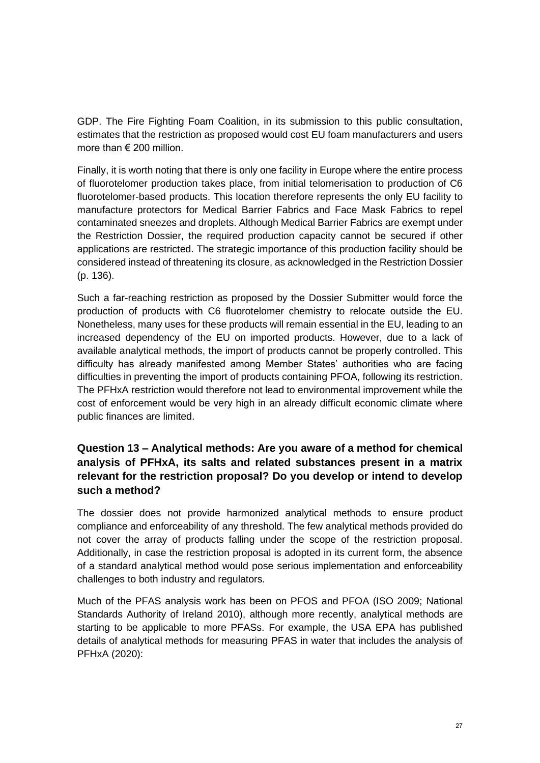GDP. The Fire Fighting Foam Coalition, in its submission to this public consultation, estimates that the restriction as proposed would cost EU foam manufacturers and users more than  $\epsilon$  200 million

Finally, it is worth noting that there is only one facility in Europe where the entire process of fluorotelomer production takes place, from initial telomerisation to production of C6 fluorotelomer-based products. This location therefore represents the only EU facility to manufacture protectors for Medical Barrier Fabrics and Face Mask Fabrics to repel contaminated sneezes and droplets. Although Medical Barrier Fabrics are exempt under the Restriction Dossier, the required production capacity cannot be secured if other applications are restricted. The strategic importance of this production facility should be considered instead of threatening its closure, as acknowledged in the Restriction Dossier (p. 136).

Such a far-reaching restriction as proposed by the Dossier Submitter would force the production of products with C6 fluorotelomer chemistry to relocate outside the EU. Nonetheless, many uses for these products will remain essential in the EU, leading to an increased dependency of the EU on imported products. However, due to a lack of available analytical methods, the import of products cannot be properly controlled. This difficulty has already manifested among Member States' authorities who are facing difficulties in preventing the import of products containing PFOA, following its restriction. The PFHxA restriction would therefore not lead to environmental improvement while the cost of enforcement would be very high in an already difficult economic climate where public finances are limited.

## **Question 13 – Analytical methods: Are you aware of a method for chemical analysis of PFHxA, its salts and related substances present in a matrix relevant for the restriction proposal? Do you develop or intend to develop such a method?**

The dossier does not provide harmonized analytical methods to ensure product compliance and enforceability of any threshold. The few analytical methods provided do not cover the array of products falling under the scope of the restriction proposal. Additionally, in case the restriction proposal is adopted in its current form, the absence of a standard analytical method would pose serious implementation and enforceability challenges to both industry and regulators.

Much of the PFAS analysis work has been on PFOS and PFOA (ISO 2009; National Standards Authority of Ireland 2010), although more recently, analytical methods are starting to be applicable to more PFASs. For example, the USA EPA has published details of analytical methods for measuring PFAS in water that includes the analysis of PFHxA (2020):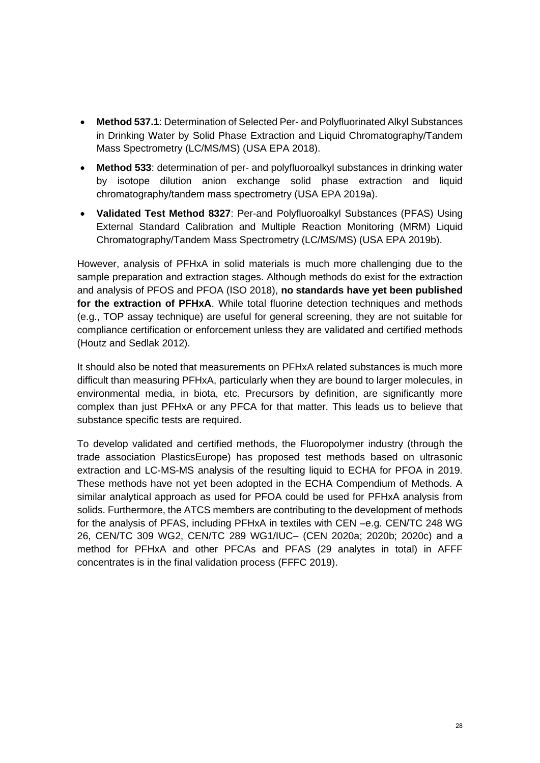- **Method 537.1**: Determination of Selected Per- and Polyfluorinated Alkyl Substances in Drinking Water by Solid Phase Extraction and Liquid Chromatography/Tandem Mass Spectrometry (LC/MS/MS) (USA EPA 2018).
- **Method 533**: determination of per- and polyfluoroalkyl substances in drinking water by isotope dilution anion exchange solid phase extraction and liquid chromatography/tandem mass spectrometry (USA EPA 2019a).
- **Validated Test Method 8327**: Per-and Polyfluoroalkyl Substances (PFAS) Using External Standard Calibration and Multiple Reaction Monitoring (MRM) Liquid Chromatography/Tandem Mass Spectrometry (LC/MS/MS) (USA EPA 2019b).

However, analysis of PFHxA in solid materials is much more challenging due to the sample preparation and extraction stages. Although methods do exist for the extraction and analysis of PFOS and PFOA (ISO 2018), **no standards have yet been published for the extraction of PFHxA**. While total fluorine detection techniques and methods (e.g., TOP assay technique) are useful for general screening, they are not suitable for compliance certification or enforcement unless they are validated and certified methods (Houtz and Sedlak 2012).

It should also be noted that measurements on PFHxA related substances is much more difficult than measuring PFHxA, particularly when they are bound to larger molecules, in environmental media, in biota, etc. Precursors by definition, are significantly more complex than just PFHxA or any PFCA for that matter. This leads us to believe that substance specific tests are required.

To develop validated and certified methods, the Fluoropolymer industry (through the trade association PlasticsEurope) has proposed test methods based on ultrasonic extraction and LC-MS-MS analysis of the resulting liquid to ECHA for PFOA in 2019. These methods have not yet been adopted in the ECHA Compendium of Methods. A similar analytical approach as used for PFOA could be used for PFHxA analysis from solids. Furthermore, the ATCS members are contributing to the development of methods for the analysis of PFAS, including PFHxA in textiles with CEN –e.g. CEN/TC 248 WG 26, CEN/TC 309 WG2, CEN/TC 289 WG1/IUC– (CEN 2020a; 2020b; 2020c) and a method for PFHxA and other PFCAs and PFAS (29 analytes in total) in AFFF concentrates is in the final validation process (FFFC 2019).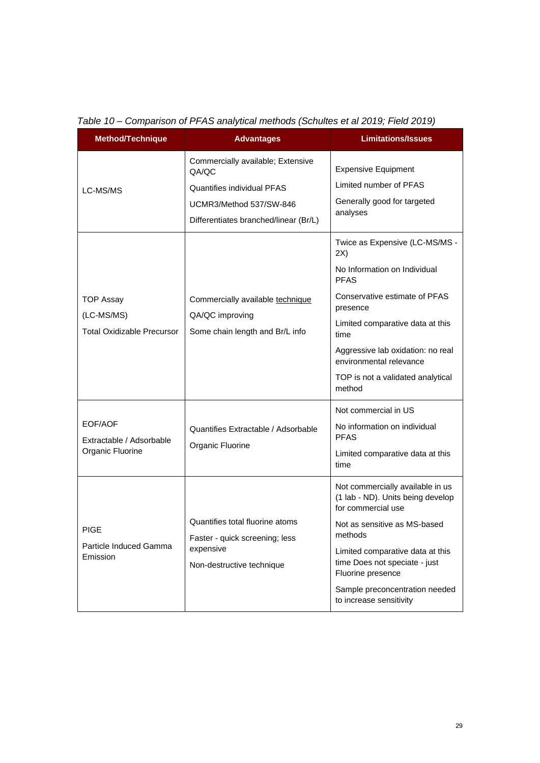| <b>Method/Technique</b>                                             | <b>Advantages</b>                                                                                                                                   | <b>Limitations/Issues</b>                                                                                                                                                                                                                                                                     |
|---------------------------------------------------------------------|-----------------------------------------------------------------------------------------------------------------------------------------------------|-----------------------------------------------------------------------------------------------------------------------------------------------------------------------------------------------------------------------------------------------------------------------------------------------|
| LC-MS/MS                                                            | Commercially available; Extensive<br>QA/QC<br><b>Quantifies individual PFAS</b><br>UCMR3/Method 537/SW-846<br>Differentiates branched/linear (Br/L) | <b>Expensive Equipment</b><br>Limited number of PFAS<br>Generally good for targeted<br>analyses                                                                                                                                                                                               |
| <b>TOP Assay</b><br>(LC-MS/MS)<br><b>Total Oxidizable Precursor</b> | Commercially available technique<br>QA/QC improving<br>Some chain length and Br/L info                                                              | Twice as Expensive (LC-MS/MS -<br>2X)<br>No Information on Individual<br><b>PFAS</b><br>Conservative estimate of PFAS<br>presence<br>Limited comparative data at this<br>time<br>Aggressive lab oxidation: no real<br>environmental relevance<br>TOP is not a validated analytical<br>method  |
| EOF/AOF<br>Extractable / Adsorbable<br>Organic Fluorine             | Quantifies Extractable / Adsorbable<br>Organic Fluorine                                                                                             | Not commercial in US<br>No information on individual<br><b>PFAS</b><br>Limited comparative data at this<br>time                                                                                                                                                                               |
| <b>PIGE</b><br>Particle Induced Gamma<br>Emission                   | Quantifies total fluorine atoms<br>Faster - quick screening; less<br>expensive<br>Non-destructive technique                                         | Not commercially available in us<br>(1 lab - ND). Units being develop<br>for commercial use<br>Not as sensitive as MS-based<br>methods<br>Limited comparative data at this<br>time Does not speciate - just<br>Fluorine presence<br>Sample preconcentration needed<br>to increase sensitivity |

*Table 10 – Comparison of PFAS analytical methods (Schultes et al 2019; Field 2019)*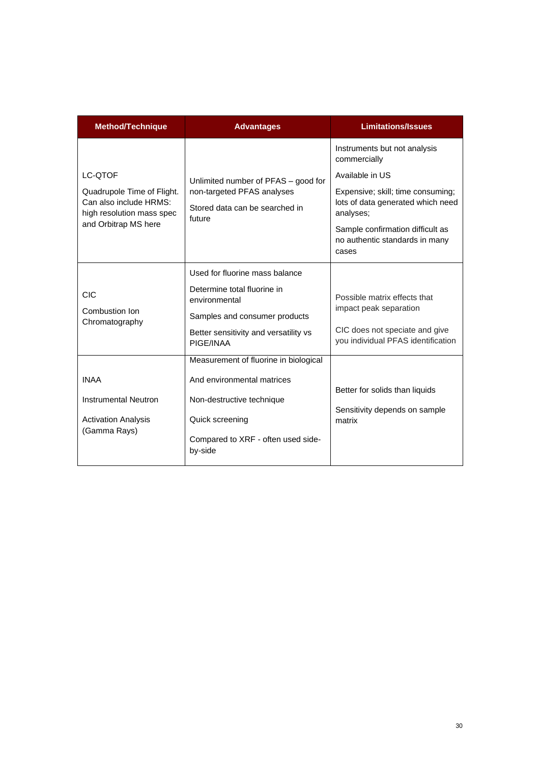| <b>Method/Technique</b>                                                           | <b>Advantages</b>                                                      | <b>Limitations/Issues</b>                                                           |
|-----------------------------------------------------------------------------------|------------------------------------------------------------------------|-------------------------------------------------------------------------------------|
|                                                                                   |                                                                        | Instruments but not analysis<br>commercially                                        |
| LC-QTOF                                                                           | Unlimited number of PFAS - good for                                    | Available in US                                                                     |
| Quadrupole Time of Flight.<br>Can also include HRMS:<br>high resolution mass spec | non-targeted PFAS analyses<br>Stored data can be searched in<br>future | Expensive; skill; time consuming;<br>lots of data generated which need<br>analyses; |
| and Orbitrap MS here                                                              |                                                                        | Sample confirmation difficult as<br>no authentic standards in many<br>cases         |
|                                                                                   | Used for fluorine mass balance                                         |                                                                                     |
| CIC                                                                               | Determine total fluorine in<br>environmental                           | Possible matrix effects that                                                        |
| Combustion Ion<br>Chromatography                                                  | Samples and consumer products                                          | impact peak separation                                                              |
|                                                                                   | Better sensitivity and versatility vs<br>PIGE/INAA                     | CIC does not speciate and give<br>you individual PFAS identification                |
|                                                                                   | Measurement of fluorine in biological                                  |                                                                                     |
| <b>INAA</b>                                                                       | And environmental matrices                                             |                                                                                     |
| Instrumental Neutron                                                              | Non-destructive technique                                              | Better for solids than liquids<br>Sensitivity depends on sample                     |
| <b>Activation Analysis</b>                                                        | Quick screening                                                        | matrix                                                                              |
| (Gamma Rays)                                                                      | Compared to XRF - often used side-<br>by-side                          |                                                                                     |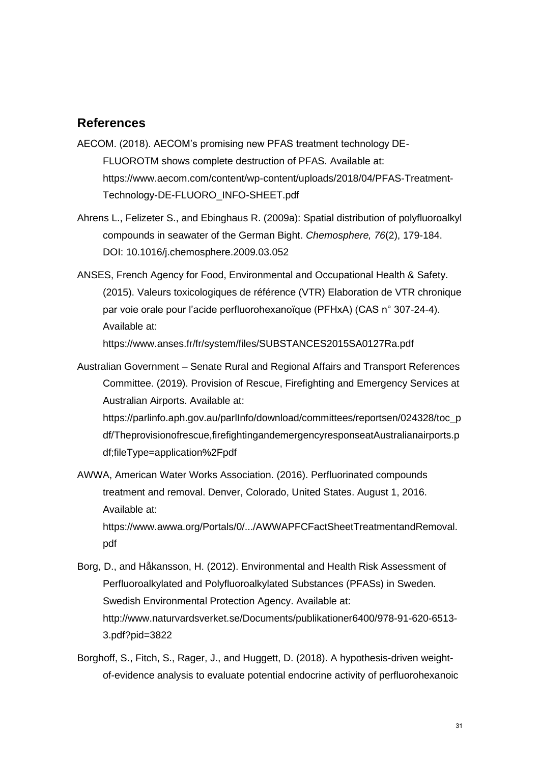#### **References**

- AECOM. (2018). AECOM's promising new PFAS treatment technology DE-FLUOROTM shows complete destruction of PFAS. Available at: https://www.aecom.com/content/wp-content/uploads/2018/04/PFAS-Treatment-Technology-DE-FLUORO\_INFO-SHEET.pdf
- Ahrens L., Felizeter S., and Ebinghaus R. (2009a): Spatial distribution of polyfluoroalkyl compounds in seawater of the German Bight. *Chemosphere, 76*(2), 179-184. DOI: 10.1016/j.chemosphere.2009.03.052
- ANSES, French Agency for Food, Environmental and Occupational Health & Safety. (2015). Valeurs toxicologiques de référence (VTR) Elaboration de VTR chronique par voie orale pour l'acide perfluorohexanoïque (PFHxA) (CAS n° 307-24-4). Available at:

https://www.anses.fr/fr/system/files/SUBSTANCES2015SA0127Ra.pdf

Australian Government – Senate Rural and Regional Affairs and Transport References Committee. (2019). Provision of Rescue, Firefighting and Emergency Services at Australian Airports. Available at:

https://parlinfo.aph.gov.au/parlInfo/download/committees/reportsen/024328/toc\_p df/Theprovisionofrescue,firefightingandemergencyresponseatAustralianairports.p df;fileType=application%2Fpdf

AWWA, American Water Works Association. (2016). Perfluorinated compounds treatment and removal. Denver, Colorado, United States. August 1, 2016. Available at:

https://www.awwa.org/Portals/0/.../AWWAPFCFactSheetTreatmentandRemoval. pdf

- Borg, D., and Håkansson, H. (2012). Environmental and Health Risk Assessment of Perfluoroalkylated and Polyfluoroalkylated Substances (PFASs) in Sweden. Swedish Environmental Protection Agency. Available at: http://www.naturvardsverket.se/Documents/publikationer6400/978-91-620-6513- 3.pdf?pid=3822
- Borghoff, S., Fitch, S., Rager, J., and Huggett, D. (2018). A hypothesis-driven weightof-evidence analysis to evaluate potential endocrine activity of perfluorohexanoic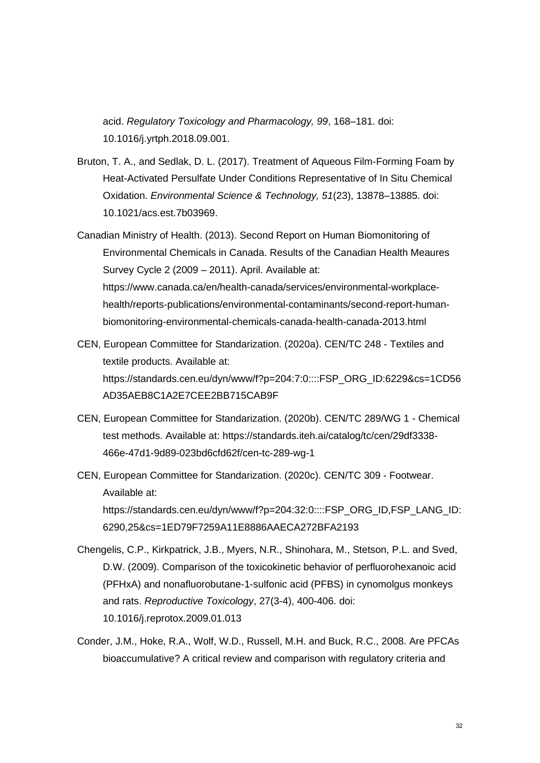acid. *Regulatory Toxicology and Pharmacology, 99*, 168–181. doi: 10.1016/j.yrtph.2018.09.001.

- Bruton, T. A., and Sedlak, D. L. (2017). Treatment of Aqueous Film-Forming Foam by Heat-Activated Persulfate Under Conditions Representative of In Situ Chemical Oxidation. *Environmental Science & Technology, 51*(23), 13878–13885. doi: 10.1021/acs.est.7b03969.
- Canadian Ministry of Health. (2013). Second Report on Human Biomonitoring of Environmental Chemicals in Canada. Results of the Canadian Health Meaures Survey Cycle 2 (2009 – 2011). April. Available at: https://www.canada.ca/en/health-canada/services/environmental-workplacehealth/reports-publications/environmental-contaminants/second-report-humanbiomonitoring-environmental-chemicals-canada-health-canada-2013.html
- CEN, European Committee for Standarization. (2020a). CEN/TC 248 Textiles and textile products. Available at: https://standards.cen.eu/dyn/www/f?p=204:7:0::::FSP\_ORG\_ID:6229&cs=1CD56 AD35AEB8C1A2E7CEE2BB715CAB9F
- CEN, European Committee for Standarization. (2020b). CEN/TC 289/WG 1 Chemical test methods. Available at: https://standards.iteh.ai/catalog/tc/cen/29df3338- 466e-47d1-9d89-023bd6cfd62f/cen-tc-289-wg-1
- CEN, European Committee for Standarization. (2020c). CEN/TC 309 Footwear. Available at: https://standards.cen.eu/dyn/www/f?p=204:32:0::::FSP\_ORG\_ID,FSP\_LANG\_ID: 6290,25&cs=1ED79F7259A11E8886AAECA272BFA2193
- Chengelis, C.P., Kirkpatrick, J.B., Myers, N.R., Shinohara, M., Stetson, P.L. and Sved, D.W. (2009). Comparison of the toxicokinetic behavior of perfluorohexanoic acid (PFHxA) and nonafluorobutane-1-sulfonic acid (PFBS) in cynomolgus monkeys and rats. *Reproductive Toxicology*, 27(3-4), 400-406. doi: 10.1016/j.reprotox.2009.01.013
- Conder, J.M., Hoke, R.A., Wolf, W.D., Russell, M.H. and Buck, R.C., 2008. Are PFCAs bioaccumulative? A critical review and comparison with regulatory criteria and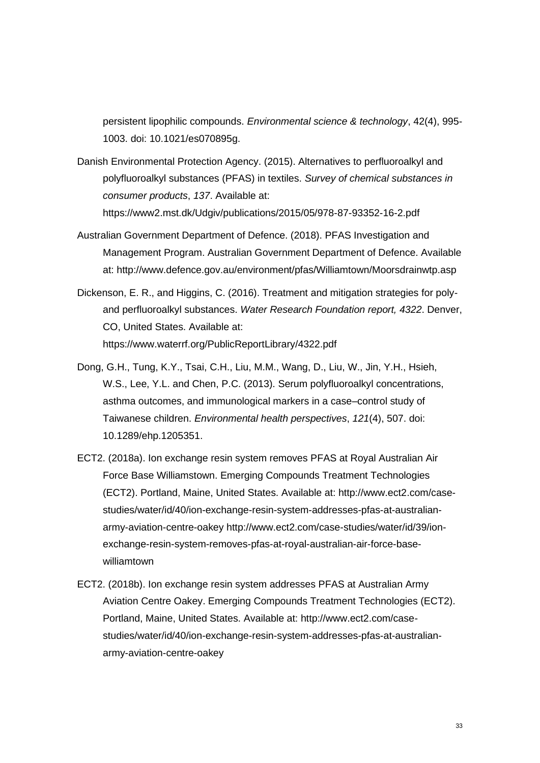persistent lipophilic compounds. *Environmental science & technology*, 42(4), 995- 1003. doi: 10.1021/es070895g.

- Danish Environmental Protection Agency. (2015). Alternatives to perfluoroalkyl and polyfluoroalkyl substances (PFAS) in textiles. *Survey of chemical substances in consumer products*, *137*. Available at: https://www2.mst.dk/Udgiv/publications/2015/05/978-87-93352-16-2.pdf
- Australian Government Department of Defence. (2018). PFAS Investigation and Management Program. Australian Government Department of Defence. Available at: http://www.defence.gov.au/environment/pfas/Williamtown/Moorsdrainwtp.asp
- Dickenson, E. R., and Higgins, C. (2016). Treatment and mitigation strategies for polyand perfluoroalkyl substances. *Water Research Foundation report, 4322*. Denver, CO, United States. Available at: https://www.waterrf.org/PublicReportLibrary/4322.pdf
- Dong, G.H., Tung, K.Y., Tsai, C.H., Liu, M.M., Wang, D., Liu, W., Jin, Y.H., Hsieh, W.S., Lee, Y.L. and Chen, P.C. (2013). Serum polyfluoroalkyl concentrations, asthma outcomes, and immunological markers in a case–control study of Taiwanese children. *Environmental health perspectives*, *121*(4), 507. doi: 10.1289/ehp.1205351.
- ECT2. (2018a). Ion exchange resin system removes PFAS at Royal Australian Air Force Base Williamstown. Emerging Compounds Treatment Technologies (ECT2). Portland, Maine, United States. Available at: http://www.ect2.com/casestudies/water/id/40/ion-exchange-resin-system-addresses-pfas-at-australianarmy-aviation-centre-oakey http://www.ect2.com/case-studies/water/id/39/ionexchange-resin-system-removes-pfas-at-royal-australian-air-force-basewilliamtown
- ECT2. (2018b). Ion exchange resin system addresses PFAS at Australian Army Aviation Centre Oakey. Emerging Compounds Treatment Technologies (ECT2). Portland, Maine, United States. Available at: http://www.ect2.com/casestudies/water/id/40/ion-exchange-resin-system-addresses-pfas-at-australianarmy-aviation-centre-oakey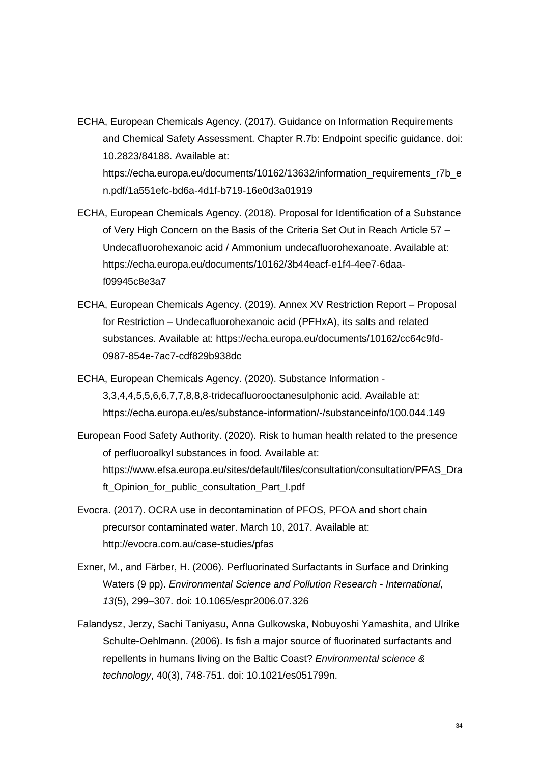- ECHA, European Chemicals Agency. (2017). Guidance on Information Requirements and Chemical Safety Assessment. Chapter R.7b: Endpoint specific guidance. doi: 10.2823/84188. Available at: https://echa.europa.eu/documents/10162/13632/information\_requirements\_r7b\_e n.pdf/1a551efc-bd6a-4d1f-b719-16e0d3a01919
- ECHA, European Chemicals Agency. (2018). Proposal for Identification of a Substance of Very High Concern on the Basis of the Criteria Set Out in Reach Article 57 – Undecafluorohexanoic acid / Ammonium undecafluorohexanoate. Available at: https://echa.europa.eu/documents/10162/3b44eacf-e1f4-4ee7-6daaf09945c8e3a7
- ECHA, European Chemicals Agency. (2019). Annex XV Restriction Report Proposal for Restriction – Undecafluorohexanoic acid (PFHxA), its salts and related substances. Available at: https://echa.europa.eu/documents/10162/cc64c9fd-0987-854e-7ac7-cdf829b938dc
- ECHA, European Chemicals Agency. (2020). Substance Information 3,3,4,4,5,5,6,6,7,7,8,8,8-tridecafluorooctanesulphonic acid. Available at: https://echa.europa.eu/es/substance-information/-/substanceinfo/100.044.149
- European Food Safety Authority. (2020). Risk to human health related to the presence of perfluoroalkyl substances in food. Available at: https://www.efsa.europa.eu/sites/default/files/consultation/consultation/PFAS\_Dra ft\_Opinion\_for\_public\_consultation\_Part\_I.pdf
- Evocra. (2017). OCRA use in decontamination of PFOS, PFOA and short chain precursor contaminated water. March 10, 2017. Available at: http://evocra.com.au/case-studies/pfas
- Exner, M., and Färber, H. (2006). Perfluorinated Surfactants in Surface and Drinking Waters (9 pp). *Environmental Science and Pollution Research - International, 13*(5), 299–307. doi: 10.1065/espr2006.07.326
- Falandysz, Jerzy, Sachi Taniyasu, Anna Gulkowska, Nobuyoshi Yamashita, and Ulrike Schulte-Oehlmann. (2006). Is fish a major source of fluorinated surfactants and repellents in humans living on the Baltic Coast? *Environmental science & technology*, 40(3), 748-751. doi: 10.1021/es051799n.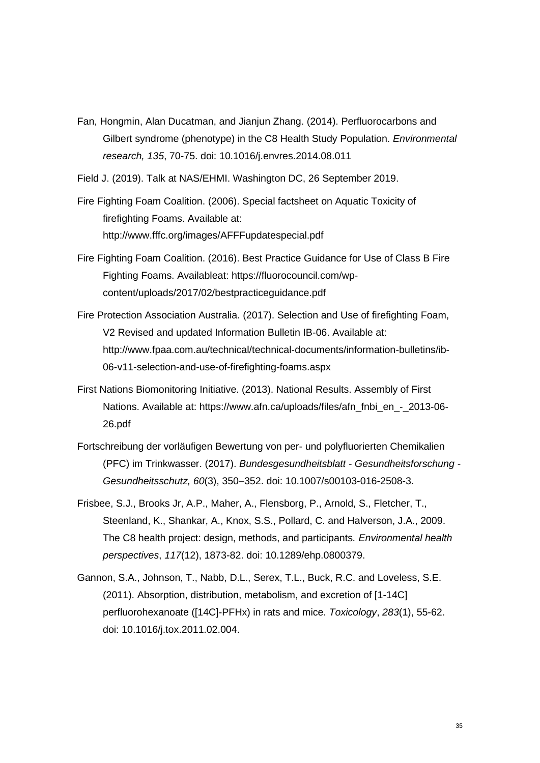- Fan, Hongmin, Alan Ducatman, and Jianjun Zhang. (2014). Perfluorocarbons and Gilbert syndrome (phenotype) in the C8 Health Study Population. *Environmental research, 135*, 70-75. doi: 10.1016/j.envres.2014.08.011
- Field J. (2019). Talk at NAS/EHMI. Washington DC, 26 September 2019.

Fire Fighting Foam Coalition. (2006). Special factsheet on Aquatic Toxicity of firefighting Foams. Available at: http://www.fffc.org/images/AFFFupdatespecial.pdf

- Fire Fighting Foam Coalition. (2016). Best Practice Guidance for Use of Class B Fire Fighting Foams. Availableat: https://fluorocouncil.com/wpcontent/uploads/2017/02/bestpracticeguidance.pdf
- Fire Protection Association Australia. (2017). Selection and Use of firefighting Foam, V2 Revised and updated Information Bulletin IB-06. Available at: http://www.fpaa.com.au/technical/technical-documents/information-bulletins/ib-06-v11-selection-and-use-of-firefighting-foams.aspx
- First Nations Biomonitoring Initiative. (2013). National Results. Assembly of First Nations. Available at: https://www.afn.ca/uploads/files/afn\_fnbi\_en\_-\_2013-06- 26.pdf
- Fortschreibung der vorläufigen Bewertung von per- und polyfluorierten Chemikalien (PFC) im Trinkwasser. (2017). *Bundesgesundheitsblatt - Gesundheitsforschung - Gesundheitsschutz, 60*(3), 350–352. doi: 10.1007/s00103-016-2508-3.
- Frisbee, S.J., Brooks Jr, A.P., Maher, A., Flensborg, P., Arnold, S., Fletcher, T., Steenland, K., Shankar, A., Knox, S.S., Pollard, C. and Halverson, J.A., 2009. The C8 health project: design, methods, and participants*. Environmental health perspectives*, *117*(12), 1873-82. doi: 10.1289/ehp.0800379.
- Gannon, S.A., Johnson, T., Nabb, D.L., Serex, T.L., Buck, R.C. and Loveless, S.E. (2011). Absorption, distribution, metabolism, and excretion of [1-14C] perfluorohexanoate ([14C]-PFHx) in rats and mice. *Toxicology*, *283*(1), 55-62. doi: 10.1016/j.tox.2011.02.004.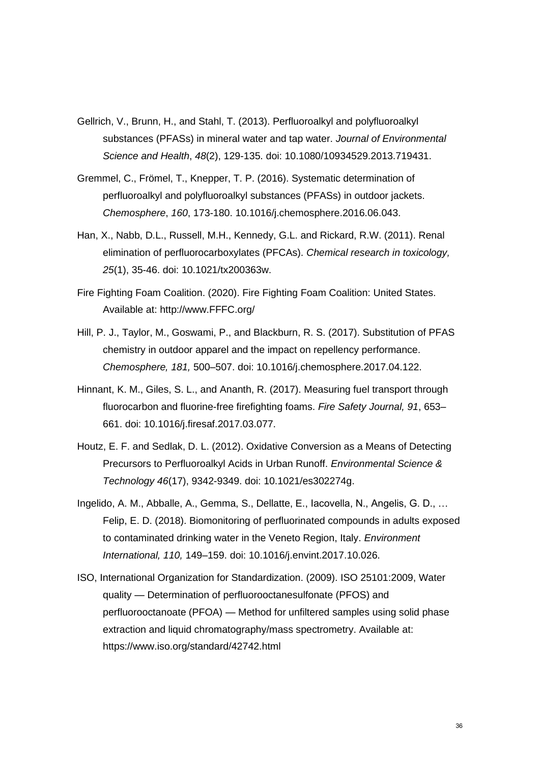- Gellrich, V., Brunn, H., and Stahl, T. (2013). Perfluoroalkyl and polyfluoroalkyl substances (PFASs) in mineral water and tap water. *Journal of Environmental Science and Health*, *48*(2), 129-135. doi: 10.1080/10934529.2013.719431.
- Gremmel, C., Frömel, T., Knepper, T. P. (2016). Systematic determination of perfluoroalkyl and polyfluoroalkyl substances (PFASs) in outdoor jackets. *Chemosphere*, *160*, 173-180. 10.1016/j.chemosphere.2016.06.043.
- Han, X., Nabb, D.L., Russell, M.H., Kennedy, G.L. and Rickard, R.W. (2011). Renal elimination of perfluorocarboxylates (PFCAs). *Chemical research in toxicology, 25*(1), 35-46. doi: 10.1021/tx200363w.
- Fire Fighting Foam Coalition. (2020). Fire Fighting Foam Coalition: United States. Available at: http://www.FFFC.org/
- Hill, P. J., Taylor, M., Goswami, P., and Blackburn, R. S. (2017). Substitution of PFAS chemistry in outdoor apparel and the impact on repellency performance. *Chemosphere, 181,* 500–507. doi: 10.1016/j.chemosphere.2017.04.122.
- Hinnant, K. M., Giles, S. L., and Ananth, R. (2017). Measuring fuel transport through fluorocarbon and fluorine-free firefighting foams. *Fire Safety Journal, 91*, 653– 661. doi: 10.1016/j.firesaf.2017.03.077.
- Houtz, E. F. and Sedlak, D. L. (2012). Oxidative Conversion as a Means of Detecting Precursors to Perfluoroalkyl Acids in Urban Runoff. *Environmental Science & Technology 46*(17), 9342-9349. doi: 10.1021/es302274g.
- Ingelido, A. M., Abballe, A., Gemma, S., Dellatte, E., Iacovella, N., Angelis, G. D., … Felip, E. D. (2018). Biomonitoring of perfluorinated compounds in adults exposed to contaminated drinking water in the Veneto Region, Italy. *Environment International, 110,* 149–159. doi: 10.1016/j.envint.2017.10.026.
- ISO, International Organization for Standardization. (2009). ISO 25101:2009, Water quality — Determination of perfluorooctanesulfonate (PFOS) and perfluorooctanoate (PFOA) — Method for unfiltered samples using solid phase extraction and liquid chromatography/mass spectrometry. Available at: https://www.iso.org/standard/42742.html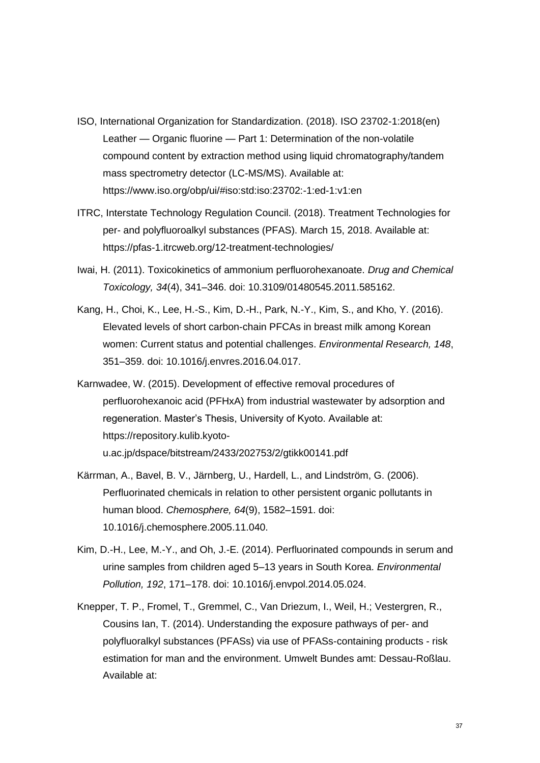- ISO, International Organization for Standardization. (2018). ISO 23702-1:2018(en) Leather — Organic fluorine — Part 1: Determination of the non-volatile compound content by extraction method using liquid chromatography/tandem mass spectrometry detector (LC-MS/MS). Available at: https://www.iso.org/obp/ui/#iso:std:iso:23702:-1:ed-1:v1:en
- ITRC, Interstate Technology Regulation Council. (2018). Treatment Technologies for per- and polyfluoroalkyl substances (PFAS). March 15, 2018. Available at: https://pfas-1.itrcweb.org/12-treatment-technologies/
- Iwai, H. (2011). Toxicokinetics of ammonium perfluorohexanoate. *Drug and Chemical Toxicology, 34*(4), 341–346. doi: 10.3109/01480545.2011.585162.
- Kang, H., Choi, K., Lee, H.-S., Kim, D.-H., Park, N.-Y., Kim, S., and Kho, Y. (2016). Elevated levels of short carbon-chain PFCAs in breast milk among Korean women: Current status and potential challenges. *Environmental Research, 148*, 351–359. doi: 10.1016/j.envres.2016.04.017.
- Karnwadee, W. (2015). Development of effective removal procedures of perfluorohexanoic acid (PFHxA) from industrial wastewater by adsorption and regeneration. Master's Thesis, University of Kyoto. Available at: https://repository.kulib.kyotou.ac.jp/dspace/bitstream/2433/202753/2/gtikk00141.pdf
- Kärrman, A., Bavel, B. V., Järnberg, U., Hardell, L., and Lindström, G. (2006). Perfluorinated chemicals in relation to other persistent organic pollutants in human blood. *Chemosphere, 64*(9), 1582–1591. doi: 10.1016/j.chemosphere.2005.11.040.
- Kim, D.-H., Lee, M.-Y., and Oh, J.-E. (2014). Perfluorinated compounds in serum and urine samples from children aged 5–13 years in South Korea. *Environmental Pollution, 192*, 171–178. doi: 10.1016/j.envpol.2014.05.024.
- Knepper, T. P., Fromel, T., Gremmel, C., Van Driezum, I., Weil, H.; Vestergren, R., Cousins Ian, T. (2014). Understanding the exposure pathways of per- and polyfluoralkyl substances (PFASs) via use of PFASs-containing products - risk estimation for man and the environment. Umwelt Bundes amt: Dessau-Roßlau. Available at: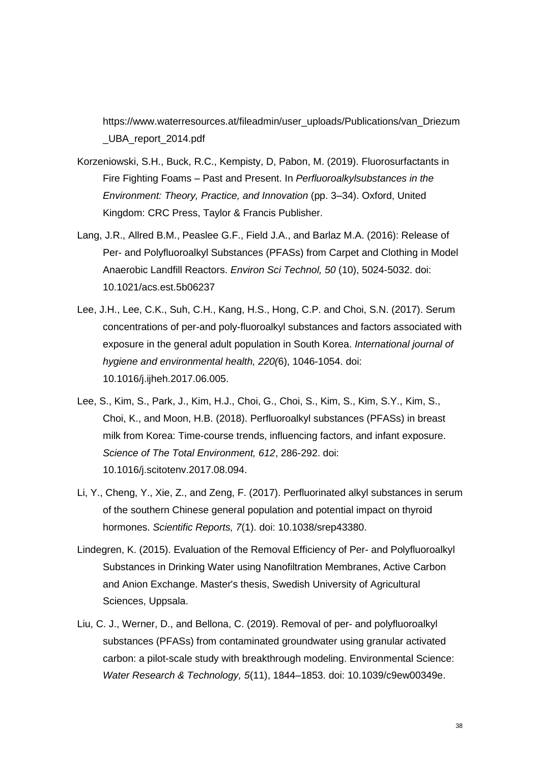https://www.waterresources.at/fileadmin/user\_uploads/Publications/van\_Driezum \_UBA\_report\_2014.pdf

- Korzeniowski, S.H., Buck, R.C., Kempisty, D, Pabon, M. (2019). Fluorosurfactants in Fire Fighting Foams – Past and Present. In *Perfluoroalkylsubstances in the Environment: Theory, Practice, and Innovation* (pp. 3–34). Oxford, United Kingdom: CRC Press, Taylor & Francis Publisher.
- Lang, J.R., Allred B.M., Peaslee G.F., Field J.A., and Barlaz M.A. (2016): Release of Per- and Polyfluoroalkyl Substances (PFASs) from Carpet and Clothing in Model Anaerobic Landfill Reactors. *Environ Sci Technol, 50* (10), 5024-5032. doi: 10.1021/acs.est.5b06237
- Lee, J.H., Lee, C.K., Suh, C.H., Kang, H.S., Hong, C.P. and Choi, S.N. (2017). Serum concentrations of per-and poly-fluoroalkyl substances and factors associated with exposure in the general adult population in South Korea. *International journal of hygiene and environmental health, 220(*6), 1046-1054. doi: 10.1016/j.ijheh.2017.06.005.
- Lee, S., Kim, S., Park, J., Kim, H.J., Choi, G., Choi, S., Kim, S., Kim, S.Y., Kim, S., Choi, K., and Moon, H.B. (2018). Perfluoroalkyl substances (PFASs) in breast milk from Korea: Time-course trends, influencing factors, and infant exposure. *Science of The Total Environment, 612*, 286-292. doi: 10.1016/j.scitotenv.2017.08.094.
- Li, Y., Cheng, Y., Xie, Z., and Zeng, F. (2017). Perfluorinated alkyl substances in serum of the southern Chinese general population and potential impact on thyroid hormones. *Scientific Reports, 7*(1). doi: 10.1038/srep43380.
- Lindegren, K. (2015). Evaluation of the Removal Efficiency of Per- and Polyfluoroalkyl Substances in Drinking Water using Nanofiltration Membranes, Active Carbon and Anion Exchange. Master's thesis, Swedish University of Agricultural Sciences, Uppsala.
- Liu, C. J., Werner, D., and Bellona, C. (2019). Removal of per- and polyfluoroalkyl substances (PFASs) from contaminated groundwater using granular activated carbon: a pilot-scale study with breakthrough modeling. Environmental Science: *Water Research & Technology, 5*(11), 1844–1853. doi: 10.1039/c9ew00349e.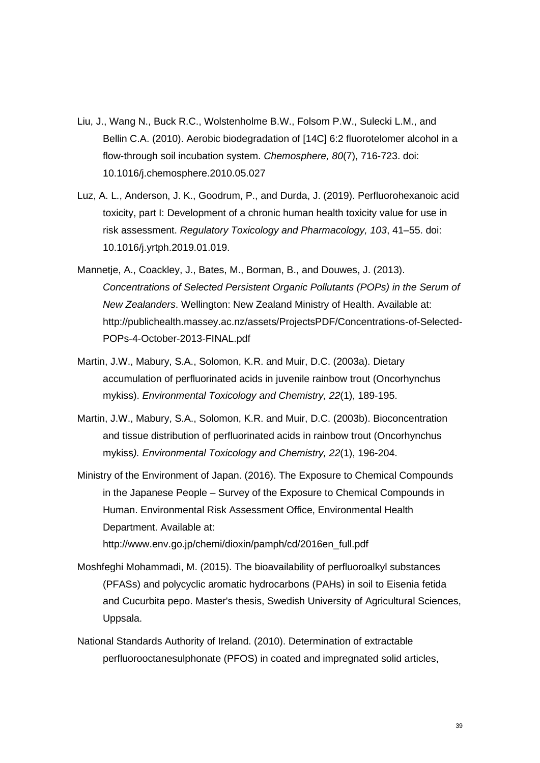- Liu, J., Wang N., Buck R.C., Wolstenholme B.W., Folsom P.W., Sulecki L.M., and Bellin C.A. (2010). Aerobic biodegradation of [14C] 6:2 fluorotelomer alcohol in a flow-through soil incubation system. *Chemosphere, 80*(7), 716-723. doi: 10.1016/j.chemosphere.2010.05.027
- Luz, A. L., Anderson, J. K., Goodrum, P., and Durda, J. (2019). Perfluorohexanoic acid toxicity, part I: Development of a chronic human health toxicity value for use in risk assessment. *Regulatory Toxicology and Pharmacology, 103*, 41–55. doi: 10.1016/j.yrtph.2019.01.019.
- Mannetje, A., Coackley, J., Bates, M., Borman, B., and Douwes, J. (2013). *Concentrations of Selected Persistent Organic Pollutants (POPs) in the Serum of New Zealanders*. Wellington: New Zealand Ministry of Health. Available at: http://publichealth.massey.ac.nz/assets/ProjectsPDF/Concentrations-of-Selected-POPs-4-October-2013-FINAL.pdf
- Martin, J.W., Mabury, S.A., Solomon, K.R. and Muir, D.C. (2003a). Dietary accumulation of perfluorinated acids in juvenile rainbow trout (Oncorhynchus mykiss). *Environmental Toxicology and Chemistry, 22*(1), 189-195.
- Martin, J.W., Mabury, S.A., Solomon, K.R. and Muir, D.C. (2003b). Bioconcentration and tissue distribution of perfluorinated acids in rainbow trout (Oncorhynchus mykiss*). Environmental Toxicology and Chemistry, 22*(1), 196-204.
- Ministry of the Environment of Japan. (2016). The Exposure to Chemical Compounds in the Japanese People – Survey of the Exposure to Chemical Compounds in Human. Environmental Risk Assessment Office, Environmental Health Department. Available at: http://www.env.go.jp/chemi/dioxin/pamph/cd/2016en\_full.pdf
- Moshfeghi Mohammadi, M. (2015). The bioavailability of perfluoroalkyl substances (PFASs) and polycyclic aromatic hydrocarbons (PAHs) in soil to Eisenia fetida and Cucurbita pepo. Master's thesis, Swedish University of Agricultural Sciences, Uppsala.
- National Standards Authority of Ireland. (2010). Determination of extractable perfluorooctanesulphonate (PFOS) in coated and impregnated solid articles,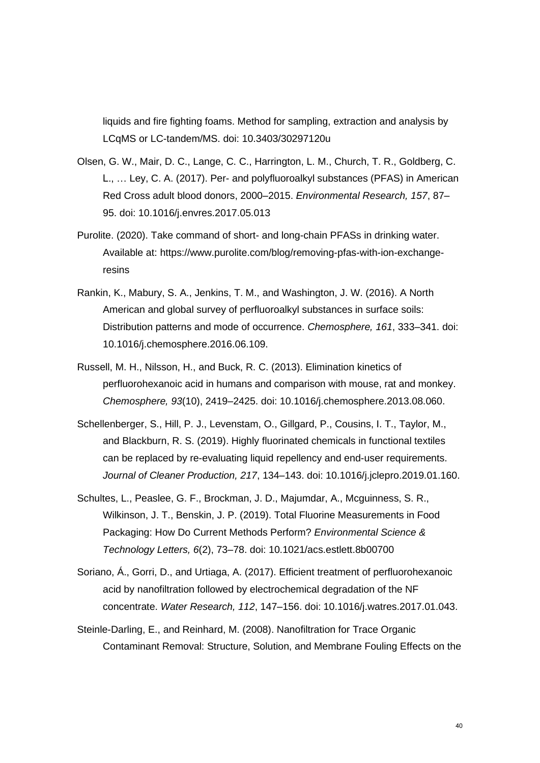liquids and fire fighting foams. Method for sampling, extraction and analysis by LCqMS or LC-tandem/MS. doi: 10.3403/30297120u

- Olsen, G. W., Mair, D. C., Lange, C. C., Harrington, L. M., Church, T. R., Goldberg, C. L., … Ley, C. A. (2017). Per- and polyfluoroalkyl substances (PFAS) in American Red Cross adult blood donors, 2000–2015. *Environmental Research, 157*, 87– 95. doi: 10.1016/j.envres.2017.05.013
- Purolite. (2020). Take command of short- and long-chain PFASs in drinking water. Available at: [https://www.purolite.com/blog/removing-pfas-with-ion-exchange](https://www.purolite.com/blog/removing-pfas-with-ion-exchange-resins)[resins](https://www.purolite.com/blog/removing-pfas-with-ion-exchange-resins)
- Rankin, K., Mabury, S. A., Jenkins, T. M., and Washington, J. W. (2016). A North American and global survey of perfluoroalkyl substances in surface soils: Distribution patterns and mode of occurrence. *Chemosphere, 161*, 333–341. doi: 10.1016/j.chemosphere.2016.06.109.
- Russell, M. H., Nilsson, H., and Buck, R. C. (2013). Elimination kinetics of perfluorohexanoic acid in humans and comparison with mouse, rat and monkey. *Chemosphere, 93*(10), 2419–2425. doi: 10.1016/j.chemosphere.2013.08.060.
- Schellenberger, S., Hill, P. J., Levenstam, O., Gillgard, P., Cousins, I. T., Taylor, M., and Blackburn, R. S. (2019). Highly fluorinated chemicals in functional textiles can be replaced by re-evaluating liquid repellency and end-user requirements. *Journal of Cleaner Production, 217*, 134–143. doi: 10.1016/j.jclepro.2019.01.160.
- Schultes, L., Peaslee, G. F., Brockman, J. D., Majumdar, A., Mcguinness, S. R., Wilkinson, J. T., Benskin, J. P. (2019). Total Fluorine Measurements in Food Packaging: How Do Current Methods Perform? *Environmental Science & Technology Letters, 6*(2), 73–78. doi: 10.1021/acs.estlett.8b00700
- Soriano, Á., Gorri, D., and Urtiaga, A. (2017). Efficient treatment of perfluorohexanoic acid by nanofiltration followed by electrochemical degradation of the NF concentrate. *Water Research, 112*, 147–156. doi: 10.1016/j.watres.2017.01.043.
- Steinle-Darling, E., and Reinhard, M. (2008). Nanofiltration for Trace Organic Contaminant Removal: Structure, Solution, and Membrane Fouling Effects on the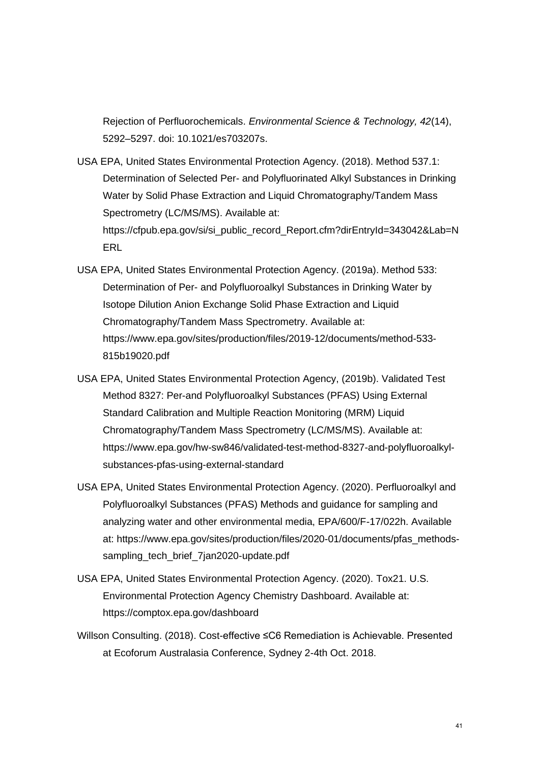Rejection of Perfluorochemicals. *Environmental Science & Technology, 42*(14), 5292–5297. doi: 10.1021/es703207s.

- USA EPA, United States Environmental Protection Agency. (2018). Method 537.1: Determination of Selected Per- and Polyfluorinated Alkyl Substances in Drinking Water by Solid Phase Extraction and Liquid Chromatography/Tandem Mass Spectrometry (LC/MS/MS). Available at: https://cfpub.epa.gov/si/si\_public\_record\_Report.cfm?dirEntryId=343042&Lab=N **FRI**
- USA EPA, United States Environmental Protection Agency. (2019a). Method 533: Determination of Per- and Polyfluoroalkyl Substances in Drinking Water by Isotope Dilution Anion Exchange Solid Phase Extraction and Liquid Chromatography/Tandem Mass Spectrometry. Available at: https://www.epa.gov/sites/production/files/2019-12/documents/method-533- 815b19020.pdf
- USA EPA, United States Environmental Protection Agency, (2019b). Validated Test Method 8327: Per-and Polyfluoroalkyl Substances (PFAS) Using External Standard Calibration and Multiple Reaction Monitoring (MRM) Liquid Chromatography/Tandem Mass Spectrometry (LC/MS/MS). Available at: https://www.epa.gov/hw-sw846/validated-test-method-8327-and-polyfluoroalkylsubstances-pfas-using-external-standard
- USA EPA, United States Environmental Protection Agency. (2020). Perfluoroalkyl and Polyfluoroalkyl Substances (PFAS) Methods and guidance for sampling and analyzing water and other environmental media, EPA/600/F-17/022h. Available at: https://www.epa.gov/sites/production/files/2020-01/documents/pfas\_methodssampling tech brief 7jan2020-update.pdf
- USA EPA, United States Environmental Protection Agency. (2020). Tox21. U.S. Environmental Protection Agency Chemistry Dashboard. Available at: https://comptox.epa.gov/dashboard
- Willson Consulting. (2018). Cost-effective ≤C6 Remediation is Achievable. Presented at Ecoforum Australasia Conference, Sydney 2-4th Oct. 2018.